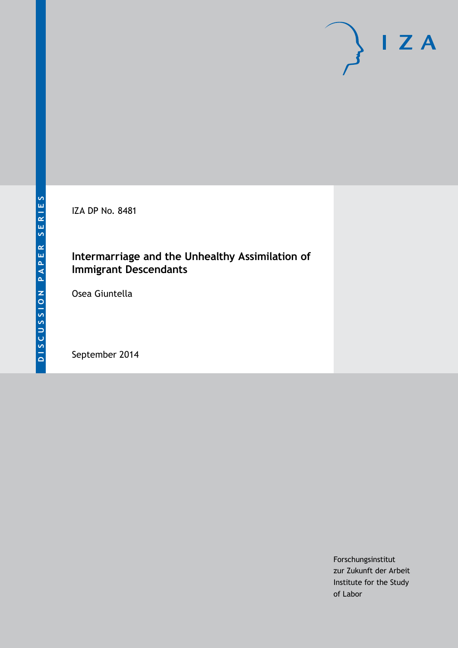IZA DP No. 8481

## **Intermarriage and the Unhealthy Assimilation of Immigrant Descendants**

Osea Giuntella

September 2014

Forschungsinstitut zur Zukunft der Arbeit Institute for the Study of Labor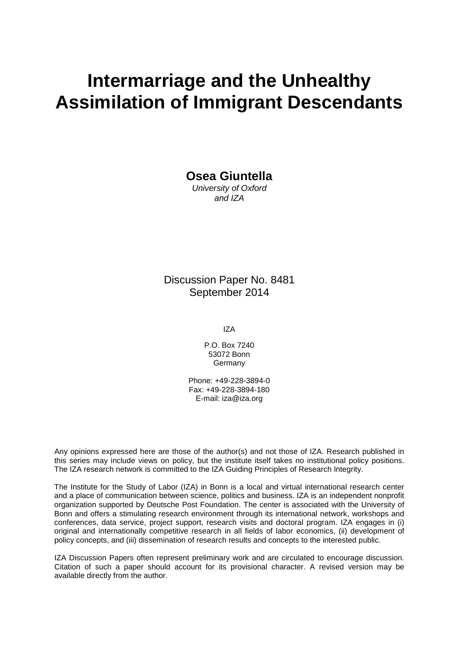# **Intermarriage and the Unhealthy Assimilation of Immigrant Descendants**

**Osea Giuntella**

*University of Oxford and IZA*

Discussion Paper No. 8481 September 2014

IZA

P.O. Box 7240 53072 Bonn Germany

Phone: +49-228-3894-0 Fax: +49-228-3894-180 E-mail: [iza@iza.org](mailto:iza@iza.org)

Any opinions expressed here are those of the author(s) and not those of IZA. Research published in this series may include views on policy, but the institute itself takes no institutional policy positions. The IZA research network is committed to the IZA Guiding Principles of Research Integrity.

The Institute for the Study of Labor (IZA) in Bonn is a local and virtual international research center and a place of communication between science, politics and business. IZA is an independent nonprofit organization supported by Deutsche Post Foundation. The center is associated with the University of Bonn and offers a stimulating research environment through its international network, workshops and conferences, data service, project support, research visits and doctoral program. IZA engages in (i) original and internationally competitive research in all fields of labor economics, (ii) development of policy concepts, and (iii) dissemination of research results and concepts to the interested public.

IZA Discussion Papers often represent preliminary work and are circulated to encourage discussion. Citation of such a paper should account for its provisional character. A revised version may be available directly from the author.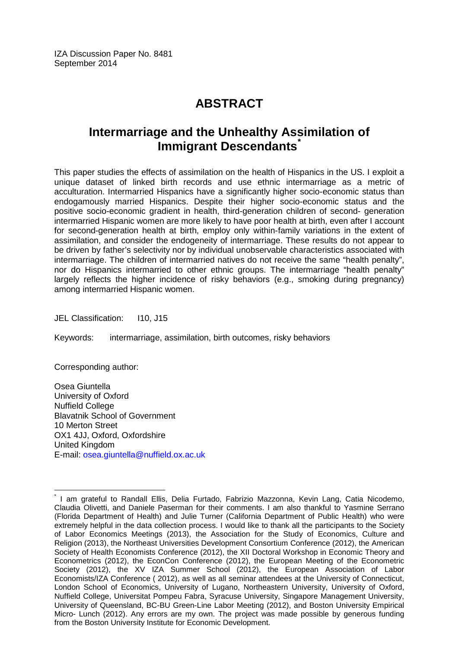## **ABSTRACT**

## **Intermarriage and the Unhealthy Assimilation of Immigrant Descendants[\\*](#page-2-0)**

This paper studies the effects of assimilation on the health of Hispanics in the US. I exploit a unique dataset of linked birth records and use ethnic intermarriage as a metric of acculturation. Intermarried Hispanics have a significantly higher socio-economic status than endogamously married Hispanics. Despite their higher socio-economic status and the positive socio-economic gradient in health, third-generation children of second- generation intermarried Hispanic women are more likely to have poor health at birth, even after I account for second-generation health at birth, employ only within-family variations in the extent of assimilation, and consider the endogeneity of intermarriage. These results do not appear to be driven by father's selectivity nor by individual unobservable characteristics associated with intermarriage. The children of intermarried natives do not receive the same "health penalty", nor do Hispanics intermarried to other ethnic groups. The intermarriage "health penalty" largely reflects the higher incidence of risky behaviors (e.g., smoking during pregnancy) among intermarried Hispanic women.

JEL Classification: 110, J15

Keywords: intermarriage, assimilation, birth outcomes, risky behaviors

Corresponding author:

Osea Giuntella University of Oxford Nuffield College Blavatnik School of Government 10 Merton Street OX1 4JJ, Oxford, Oxfordshire United Kingdom E-mail: [osea.giuntella@nuffield.ox.ac.uk](mailto:osea.giuntella@nuffield.ox.ac.uk)

<span id="page-2-0"></span>\* I am grateful to Randall Ellis, Delia Furtado, Fabrizio Mazzonna, Kevin Lang, Catia Nicodemo, Claudia Olivetti, and Daniele Paserman for their comments. I am also thankful to Yasmine Serrano (Florida Department of Health) and Julie Turner (California Department of Public Health) who were extremely helpful in the data collection process. I would like to thank all the participants to the Society of Labor Economics Meetings (2013), the Association for the Study of Economics, Culture and Religion (2013), the Northeast Universities Development Consortium Conference (2012), the American Society of Health Economists Conference (2012), the XII Doctoral Workshop in Economic Theory and Econometrics (2012), the EconCon Conference (2012), the European Meeting of the Econometric Society (2012), the XV IZA Summer School (2012), the European Association of Labor Economists/IZA Conference ( 2012), as well as all seminar attendees at the University of Connecticut, London School of Economics, University of Lugano, Northeastern University, University of Oxford, Nuffield College, Universitat Pompeu Fabra, Syracuse University, Singapore Management University, University of Queensland, BC-BU Green-Line Labor Meeting (2012), and Boston University Empirical Micro- Lunch (2012). Any errors are my own. The project was made possible by generous funding from the Boston University Institute for Economic Development.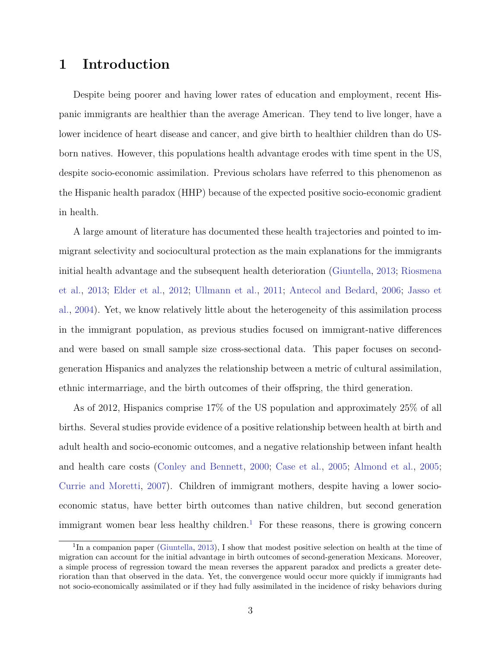## 1 Introduction

Despite being poorer and having lower rates of education and employment, recent Hispanic immigrants are healthier than the average American. They tend to live longer, have a lower incidence of heart disease and cancer, and give birth to healthier children than do USborn natives. However, this populations health advantage erodes with time spent in the US, despite socio-economic assimilation. Previous scholars have referred to this phenomenon as the Hispanic health paradox (HHP) because of the expected positive socio-economic gradient in health.

A large amount of literature has documented these health trajectories and pointed to immigrant selectivity and sociocultural protection as the main explanations for the immigrants initial health advantage and the subsequent health deterioration [\(Giuntella,](#page-25-0) [2013;](#page-25-0) [Riosmena](#page-26-0) [et al.,](#page-26-0) [2013;](#page-26-0) [Elder et al.,](#page-24-0) [2012;](#page-24-0) [Ullmann et al.,](#page-26-1) [2011;](#page-26-1) [Antecol and Bedard,](#page-23-0) [2006;](#page-23-0) [Jasso et](#page-25-1) [al.,](#page-25-1) [2004\)](#page-25-1). Yet, we know relatively little about the heterogeneity of this assimilation process in the immigrant population, as previous studies focused on immigrant-native differences and were based on small sample size cross-sectional data. This paper focuses on secondgeneration Hispanics and analyzes the relationship between a metric of cultural assimilation, ethnic intermarriage, and the birth outcomes of their offspring, the third generation.

As of 2012, Hispanics comprise 17% of the US population and approximately 25% of all births. Several studies provide evidence of a positive relationship between health at birth and adult health and socio-economic outcomes, and a negative relationship between infant health and health care costs [\(Conley and Bennett,](#page-23-1) [2000;](#page-23-1) [Case et al.,](#page-23-2) [2005;](#page-23-2) [Almond et al.,](#page-22-0) [2005;](#page-22-0) [Currie and Moretti,](#page-24-1) [2007\)](#page-24-1). Children of immigrant mothers, despite having a lower socioeconomic status, have better birth outcomes than native children, but second generation immigrant women bear less healthy children.<sup>[1](#page-3-0)</sup> For these reasons, there is growing concern

<span id="page-3-0"></span><sup>&</sup>lt;sup>1</sup>In a companion paper [\(Giuntella,](#page-25-0) [2013\)](#page-25-0), I show that modest positive selection on health at the time of migration can account for the initial advantage in birth outcomes of second-generation Mexicans. Moreover, a simple process of regression toward the mean reverses the apparent paradox and predicts a greater deterioration than that observed in the data. Yet, the convergence would occur more quickly if immigrants had not socio-economically assimilated or if they had fully assimilated in the incidence of risky behaviors during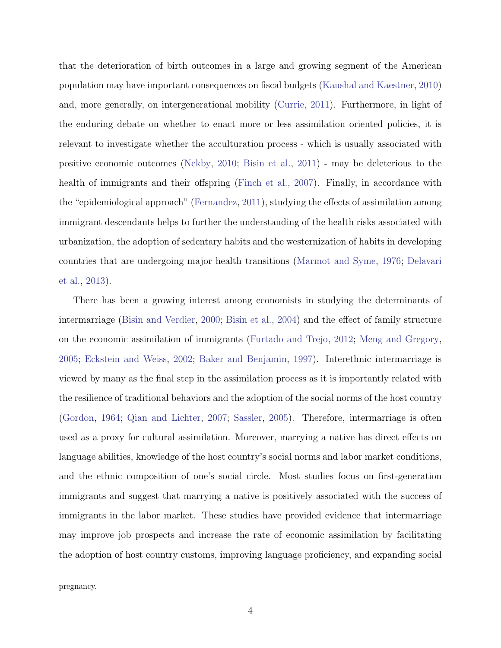that the deterioration of birth outcomes in a large and growing segment of the American population may have important consequences on fiscal budgets [\(Kaushal and Kaestner,](#page-26-2) [2010\)](#page-26-2) and, more generally, on intergenerational mobility [\(Currie,](#page-24-2) [2011\)](#page-24-2). Furthermore, in light of the enduring debate on whether to enact more or less assimilation oriented policies, it is relevant to investigate whether the acculturation process - which is usually associated with positive economic outcomes [\(Nekby,](#page-26-3) [2010;](#page-26-3) [Bisin et al.,](#page-23-3) [2011\)](#page-23-3) - may be deleterious to the health of immigrants and their offspring [\(Finch et al.,](#page-25-2) [2007\)](#page-25-2). Finally, in accordance with the "epidemiological approach" [\(Fernandez,](#page-25-3) [2011\)](#page-25-3), studying the effects of assimilation among immigrant descendants helps to further the understanding of the health risks associated with urbanization, the adoption of sedentary habits and the westernization of habits in developing countries that are undergoing major health transitions [\(Marmot and Syme,](#page-26-4) [1976;](#page-26-4) [Delavari](#page-24-3) [et al.,](#page-24-3) [2013\)](#page-24-3).

There has been a growing interest among economists in studying the determinants of intermarriage [\(Bisin and Verdier,](#page-23-4) [2000;](#page-23-4) [Bisin et al.,](#page-23-5) [2004\)](#page-23-5) and the effect of family structure on the economic assimilation of immigrants [\(Furtado and Trejo,](#page-25-4) [2012;](#page-25-4) [Meng and Gregory,](#page-26-5) [2005;](#page-26-5) [Eckstein and Weiss,](#page-24-4) [2002;](#page-24-4) [Baker and Benjamin,](#page-23-6) [1997\)](#page-23-6). Interethnic intermarriage is viewed by many as the final step in the assimilation process as it is importantly related with the resilience of traditional behaviors and the adoption of the social norms of the host country [\(Gordon,](#page-25-5) [1964;](#page-25-5) [Qian and Lichter,](#page-26-6) [2007;](#page-26-6) [Sassler,](#page-26-7) [2005\)](#page-26-7). Therefore, intermarriage is often used as a proxy for cultural assimilation. Moreover, marrying a native has direct effects on language abilities, knowledge of the host country's social norms and labor market conditions, and the ethnic composition of one's social circle. Most studies focus on first-generation immigrants and suggest that marrying a native is positively associated with the success of immigrants in the labor market. These studies have provided evidence that intermarriage may improve job prospects and increase the rate of economic assimilation by facilitating the adoption of host country customs, improving language proficiency, and expanding social

pregnancy.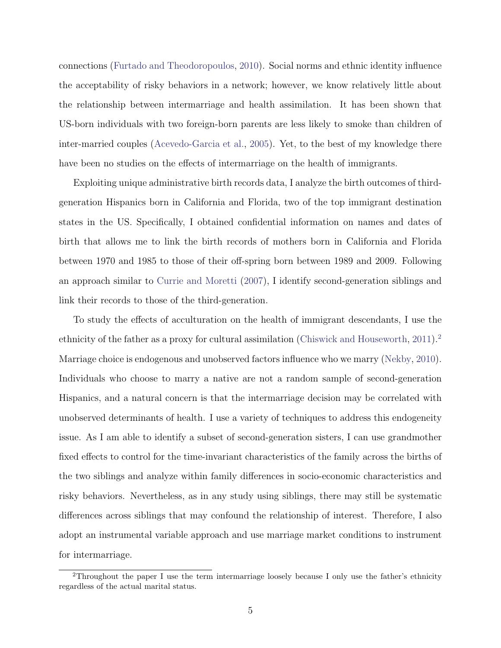connections [\(Furtado and Theodoropoulos,](#page-25-6) [2010\)](#page-25-6). Social norms and ethnic identity influence the acceptability of risky behaviors in a network; however, we know relatively little about the relationship between intermarriage and health assimilation. It has been shown that US-born individuals with two foreign-born parents are less likely to smoke than children of inter-married couples [\(Acevedo-Garcia et al.,](#page-22-1) [2005\)](#page-22-1). Yet, to the best of my knowledge there have been no studies on the effects of intermarriage on the health of immigrants.

Exploiting unique administrative birth records data, I analyze the birth outcomes of thirdgeneration Hispanics born in California and Florida, two of the top immigrant destination states in the US. Specifically, I obtained confidential information on names and dates of birth that allows me to link the birth records of mothers born in California and Florida between 1970 and 1985 to those of their off-spring born between 1989 and 2009. Following an approach similar to [Currie and Moretti](#page-24-1) [\(2007\)](#page-24-1), I identify second-generation siblings and link their records to those of the third-generation.

To study the effects of acculturation on the health of immigrant descendants, I use the ethnicity of the father as a proxy for cultural assimilation [\(Chiswick and Houseworth,](#page-23-7) [2011\)](#page-23-7).<sup>[2](#page-5-0)</sup> Marriage choice is endogenous and unobserved factors influence who we marry [\(Nekby,](#page-26-3) [2010\)](#page-26-3). Individuals who choose to marry a native are not a random sample of second-generation Hispanics, and a natural concern is that the intermarriage decision may be correlated with unobserved determinants of health. I use a variety of techniques to address this endogeneity issue. As I am able to identify a subset of second-generation sisters, I can use grandmother fixed effects to control for the time-invariant characteristics of the family across the births of the two siblings and analyze within family differences in socio-economic characteristics and risky behaviors. Nevertheless, as in any study using siblings, there may still be systematic differences across siblings that may confound the relationship of interest. Therefore, I also adopt an instrumental variable approach and use marriage market conditions to instrument for intermarriage.

<span id="page-5-0"></span><sup>2</sup>Throughout the paper I use the term intermarriage loosely because I only use the father's ethnicity regardless of the actual marital status.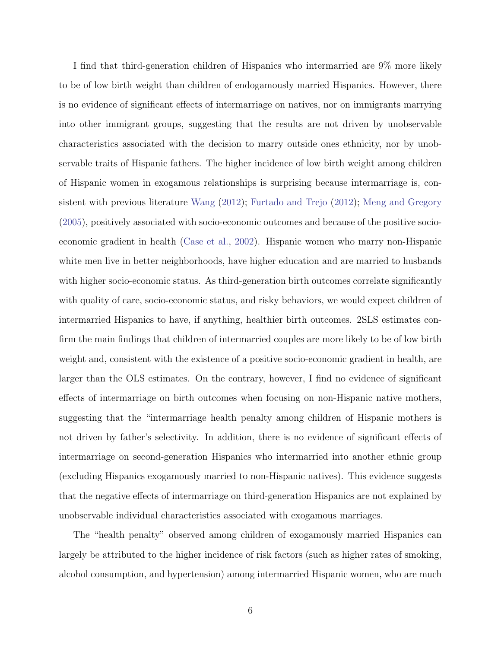I find that third-generation children of Hispanics who intermarried are 9% more likely to be of low birth weight than children of endogamously married Hispanics. However, there is no evidence of significant effects of intermarriage on natives, nor on immigrants marrying into other immigrant groups, suggesting that the results are not driven by unobservable characteristics associated with the decision to marry outside ones ethnicity, nor by unobservable traits of Hispanic fathers. The higher incidence of low birth weight among children of Hispanic women in exogamous relationships is surprising because intermarriage is, consistent with previous literature [Wang](#page-27-0) [\(2012\)](#page-27-0); [Furtado and Trejo](#page-25-4) [\(2012\)](#page-25-4); [Meng and Gregory](#page-26-5) [\(2005\)](#page-26-5), positively associated with socio-economic outcomes and because of the positive socioeconomic gradient in health [\(Case et al.,](#page-23-8) [2002\)](#page-23-8). Hispanic women who marry non-Hispanic white men live in better neighborhoods, have higher education and are married to husbands with higher socio-economic status. As third-generation birth outcomes correlate significantly with quality of care, socio-economic status, and risky behaviors, we would expect children of intermarried Hispanics to have, if anything, healthier birth outcomes. 2SLS estimates confirm the main findings that children of intermarried couples are more likely to be of low birth weight and, consistent with the existence of a positive socio-economic gradient in health, are larger than the OLS estimates. On the contrary, however, I find no evidence of significant effects of intermarriage on birth outcomes when focusing on non-Hispanic native mothers, suggesting that the "intermarriage health penalty among children of Hispanic mothers is not driven by father's selectivity. In addition, there is no evidence of significant effects of intermarriage on second-generation Hispanics who intermarried into another ethnic group (excluding Hispanics exogamously married to non-Hispanic natives). This evidence suggests that the negative effects of intermarriage on third-generation Hispanics are not explained by unobservable individual characteristics associated with exogamous marriages.

The "health penalty" observed among children of exogamously married Hispanics can largely be attributed to the higher incidence of risk factors (such as higher rates of smoking, alcohol consumption, and hypertension) among intermarried Hispanic women, who are much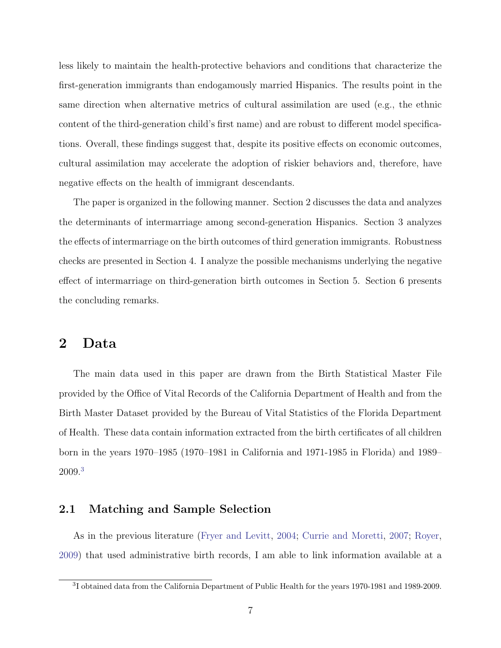less likely to maintain the health-protective behaviors and conditions that characterize the first-generation immigrants than endogamously married Hispanics. The results point in the same direction when alternative metrics of cultural assimilation are used (e.g., the ethnic content of the third-generation child's first name) and are robust to different model specifications. Overall, these findings suggest that, despite its positive effects on economic outcomes, cultural assimilation may accelerate the adoption of riskier behaviors and, therefore, have negative effects on the health of immigrant descendants.

The paper is organized in the following manner. Section 2 discusses the data and analyzes the determinants of intermarriage among second-generation Hispanics. Section 3 analyzes the effects of intermarriage on the birth outcomes of third generation immigrants. Robustness checks are presented in Section 4. I analyze the possible mechanisms underlying the negative effect of intermarriage on third-generation birth outcomes in Section 5. Section 6 presents the concluding remarks.

## 2 Data

The main data used in this paper are drawn from the Birth Statistical Master File provided by the Office of Vital Records of the California Department of Health and from the Birth Master Dataset provided by the Bureau of Vital Statistics of the Florida Department of Health. These data contain information extracted from the birth certificates of all children born in the years 1970–1985 (1970–1981 in California and 1971-1985 in Florida) and 1989– 2009.[3](#page-7-0)

#### 2.1 Matching and Sample Selection

As in the previous literature [\(Fryer and Levitt,](#page-25-7) [2004;](#page-25-7) [Currie and Moretti,](#page-24-1) [2007;](#page-24-1) [Royer,](#page-26-8) [2009\)](#page-26-8) that used administrative birth records, I am able to link information available at a

<span id="page-7-0"></span><sup>&</sup>lt;sup>3</sup>I obtained data from the California Department of Public Health for the years 1970-1981 and 1989-2009.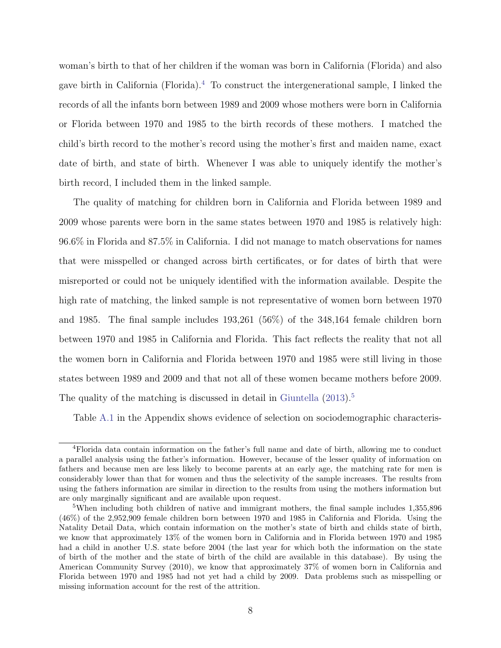woman's birth to that of her children if the woman was born in California (Florida) and also gave birth in California (Florida).<sup>[4](#page-8-0)</sup> To construct the intergenerational sample, I linked the records of all the infants born between 1989 and 2009 whose mothers were born in California or Florida between 1970 and 1985 to the birth records of these mothers. I matched the child's birth record to the mother's record using the mother's first and maiden name, exact date of birth, and state of birth. Whenever I was able to uniquely identify the mother's birth record, I included them in the linked sample.

The quality of matching for children born in California and Florida between 1989 and 2009 whose parents were born in the same states between 1970 and 1985 is relatively high: 96.6% in Florida and 87.5% in California. I did not manage to match observations for names that were misspelled or changed across birth certificates, or for dates of birth that were misreported or could not be uniquely identified with the information available. Despite the high rate of matching, the linked sample is not representative of women born between 1970 and 1985. The final sample includes 193,261 (56%) of the 348,164 female children born between 1970 and 1985 in California and Florida. This fact reflects the reality that not all the women born in California and Florida between 1970 and 1985 were still living in those states between 1989 and 2009 and that not all of these women became mothers before 2009. The quality of the matching is discussed in detail in [Giuntella](#page-25-0) [\(2013\)](#page-25-0).<sup>[5](#page-8-1)</sup>

Table [A.1](#page-39-0) in the Appendix shows evidence of selection on sociodemographic characteris-

<span id="page-8-0"></span><sup>4</sup>Florida data contain information on the father's full name and date of birth, allowing me to conduct a parallel analysis using the father's information. However, because of the lesser quality of information on fathers and because men are less likely to become parents at an early age, the matching rate for men is considerably lower than that for women and thus the selectivity of the sample increases. The results from using the fathers information are similar in direction to the results from using the mothers information but are only marginally significant and are available upon request.

<span id="page-8-1"></span><sup>5</sup>When including both children of native and immigrant mothers, the final sample includes 1,355,896 (46%) of the 2,952,909 female children born between 1970 and 1985 in California and Florida. Using the Natality Detail Data, which contain information on the mother's state of birth and childs state of birth, we know that approximately 13% of the women born in California and in Florida between 1970 and 1985 had a child in another U.S. state before 2004 (the last year for which both the information on the state of birth of the mother and the state of birth of the child are available in this database). By using the American Community Survey (2010), we know that approximately 37% of women born in California and Florida between 1970 and 1985 had not yet had a child by 2009. Data problems such as misspelling or missing information account for the rest of the attrition.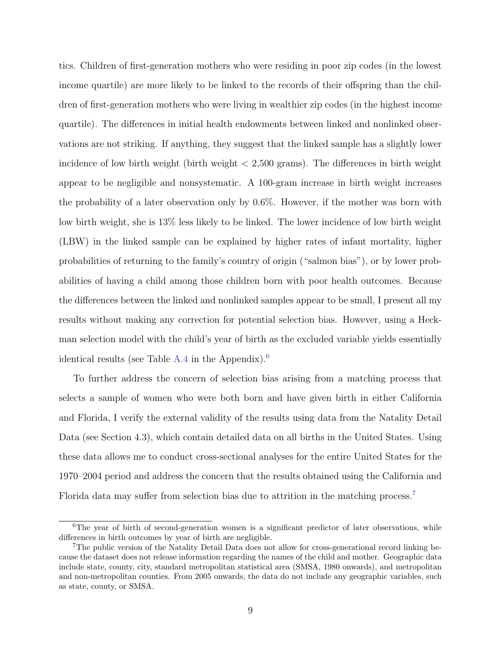tics. Children of first-generation mothers who were residing in poor zip codes (in the lowest income quartile) are more likely to be linked to the records of their offspring than the children of first-generation mothers who were living in wealthier zip codes (in the highest income quartile). The differences in initial health endowments between linked and nonlinked observations are not striking. If anything, they suggest that the linked sample has a slightly lower incidence of low birth weight (birth weight  $\langle 2,500 \text{ grams} \rangle$ ). The differences in birth weight appear to be negligible and nonsystematic. A 100-gram increase in birth weight increases the probability of a later observation only by 0.6%. However, if the mother was born with low birth weight, she is 13% less likely to be linked. The lower incidence of low birth weight (LBW) in the linked sample can be explained by higher rates of infant mortality, higher probabilities of returning to the family's country of origin ("salmon bias"), or by lower probabilities of having a child among those children born with poor health outcomes. Because the differences between the linked and nonlinked samples appear to be small, I present all my results without making any correction for potential selection bias. However, using a Heckman selection model with the child's year of birth as the excluded variable yields essentially identical results (see Table [A.4](#page-42-0) in the Appendix).<sup>[6](#page-9-0)</sup>

To further address the concern of selection bias arising from a matching process that selects a sample of women who were both born and have given birth in either California and Florida, I verify the external validity of the results using data from the Natality Detail Data (see Section 4.3), which contain detailed data on all births in the United States. Using these data allows me to conduct cross-sectional analyses for the entire United States for the 1970–2004 period and address the concern that the results obtained using the California and Florida data may suffer from selection bias due to attrition in the matching process.<sup>[7](#page-9-1)</sup>

<span id="page-9-0"></span><sup>&</sup>lt;sup>6</sup>The year of birth of second-generation women is a significant predictor of later observations, while differences in birth outcomes by year of birth are negligible.

<span id="page-9-1"></span><sup>7</sup>The public version of the Natality Detail Data does not allow for cross-generational record linking because the dataset does not release information regarding the names of the child and mother. Geographic data include state, county, city, standard metropolitan statistical area (SMSA, 1980 onwards), and metropolitan and non-metropolitan counties. From 2005 onwards, the data do not include any geographic variables, such as state, county, or SMSA.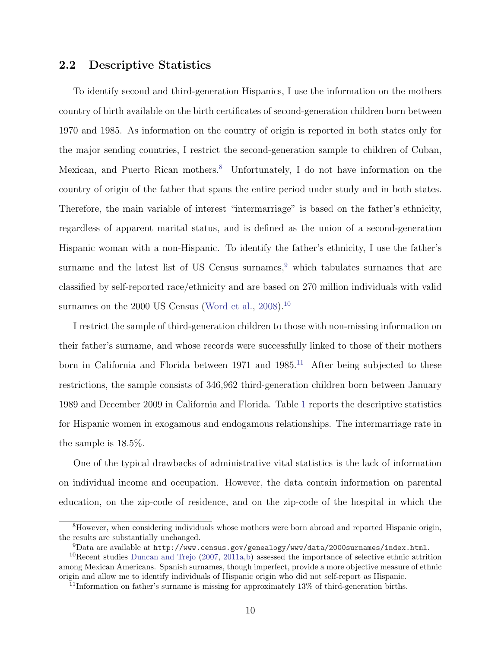#### 2.2 Descriptive Statistics

To identify second and third-generation Hispanics, I use the information on the mothers country of birth available on the birth certificates of second-generation children born between 1970 and 1985. As information on the country of origin is reported in both states only for the major sending countries, I restrict the second-generation sample to children of Cuban, Mexican, and Puerto Rican mothers.<sup>[8](#page-10-0)</sup> Unfortunately, I do not have information on the country of origin of the father that spans the entire period under study and in both states. Therefore, the main variable of interest "intermarriage" is based on the father's ethnicity, regardless of apparent marital status, and is defined as the union of a second-generation Hispanic woman with a non-Hispanic. To identify the father's ethnicity, I use the father's surname and the latest list of US Census surnames, $9$  which tabulates surnames that are classified by self-reported race/ethnicity and are based on 270 million individuals with valid surnames on the 2000 US Census [\(Word et al.,](#page-27-1) [2008\)](#page-27-1).<sup>[10](#page-10-2)</sup>

I restrict the sample of third-generation children to those with non-missing information on their father's surname, and whose records were successfully linked to those of their mothers born in California and Florida between 1971 and  $1985<sup>11</sup>$  $1985<sup>11</sup>$  $1985<sup>11</sup>$  After being subjected to these restrictions, the sample consists of 346,962 third-generation children born between January 1989 and December 2009 in California and Florida. Table [1](#page-28-0) reports the descriptive statistics for Hispanic women in exogamous and endogamous relationships. The intermarriage rate in the sample is 18.5%.

One of the typical drawbacks of administrative vital statistics is the lack of information on individual income and occupation. However, the data contain information on parental education, on the zip-code of residence, and on the zip-code of the hospital in which the

<span id="page-10-0"></span><sup>8</sup>However, when considering individuals whose mothers were born abroad and reported Hispanic origin, the results are substantially unchanged.

<span id="page-10-2"></span><span id="page-10-1"></span><sup>9</sup>Data are available at <http://www.census.gov/genealogy/www/data/2000surnames/index.html>.

<sup>10</sup>Recent studies [Duncan and Trejo](#page-24-5) [\(2007,](#page-24-5) [2011a,](#page-24-6)[b\)](#page-24-7) assessed the importance of selective ethnic attrition among Mexican Americans. Spanish surnames, though imperfect, provide a more objective measure of ethnic origin and allow me to identify individuals of Hispanic origin who did not self-report as Hispanic.

<span id="page-10-3"></span><sup>11</sup>Information on father's surname is missing for approximately 13% of third-generation births.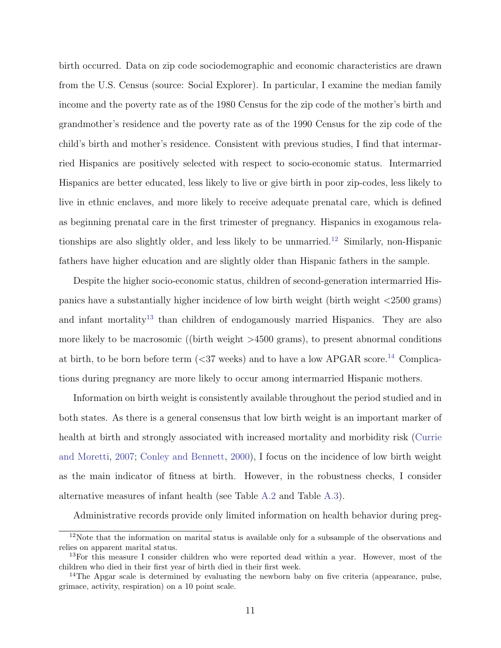birth occurred. Data on zip code sociodemographic and economic characteristics are drawn from the U.S. Census (source: Social Explorer). In particular, I examine the median family income and the poverty rate as of the 1980 Census for the zip code of the mother's birth and grandmother's residence and the poverty rate as of the 1990 Census for the zip code of the child's birth and mother's residence. Consistent with previous studies, I find that intermarried Hispanics are positively selected with respect to socio-economic status. Intermarried Hispanics are better educated, less likely to live or give birth in poor zip-codes, less likely to live in ethnic enclaves, and more likely to receive adequate prenatal care, which is defined as beginning prenatal care in the first trimester of pregnancy. Hispanics in exogamous rela-tionships are also slightly older, and less likely to be unmarried.<sup>[12](#page-11-0)</sup> Similarly, non-Hispanic fathers have higher education and are slightly older than Hispanic fathers in the sample.

Despite the higher socio-economic status, children of second-generation intermarried Hispanics have a substantially higher incidence of low birth weight (birth weight <2500 grams) and infant mortality<sup>[13](#page-11-1)</sup> than children of endogamously married Hispanics. They are also more likely to be macrosomic ((birth weight  $>4500$  grams), to present abnormal conditions at birth, to be born before term  $(*37* weeks)$  and to have a low APGAR score.<sup>[14](#page-11-2)</sup> Complications during pregnancy are more likely to occur among intermarried Hispanic mothers.

Information on birth weight is consistently available throughout the period studied and in both states. As there is a general consensus that low birth weight is an important marker of health at birth and strongly associated with increased mortality and morbidity risk [\(Currie](#page-24-1) [and Moretti,](#page-24-1) [2007;](#page-24-1) [Conley and Bennett,](#page-23-1) [2000\)](#page-23-1), I focus on the incidence of low birth weight as the main indicator of fitness at birth. However, in the robustness checks, I consider alternative measures of infant health (see Table [A.2](#page-40-0) and Table [A.3\)](#page-41-0).

Administrative records provide only limited information on health behavior during preg-

<span id="page-11-0"></span> $12$ Note that the information on marital status is available only for a subsample of the observations and relies on apparent marital status.

<span id="page-11-1"></span><sup>&</sup>lt;sup>13</sup>For this measure I consider children who were reported dead within a year. However, most of the children who died in their first year of birth died in their first week.

<span id="page-11-2"></span><sup>&</sup>lt;sup>14</sup>The Apgar scale is determined by evaluating the newborn baby on five criteria (appearance, pulse, grimace, activity, respiration) on a 10 point scale.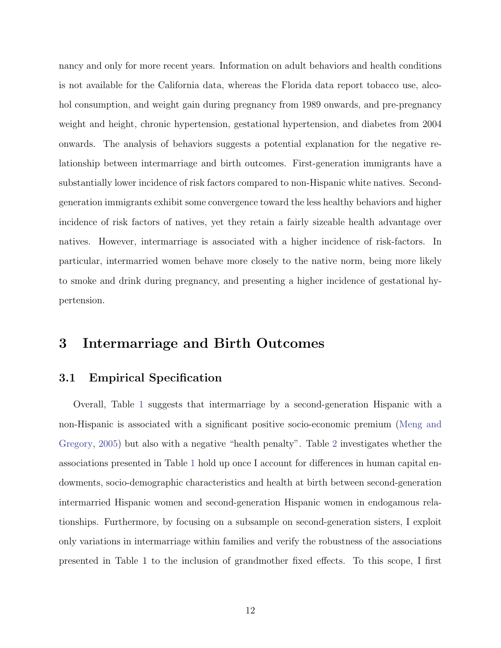nancy and only for more recent years. Information on adult behaviors and health conditions is not available for the California data, whereas the Florida data report tobacco use, alcohol consumption, and weight gain during pregnancy from 1989 onwards, and pre-pregnancy weight and height, chronic hypertension, gestational hypertension, and diabetes from 2004 onwards. The analysis of behaviors suggests a potential explanation for the negative relationship between intermarriage and birth outcomes. First-generation immigrants have a substantially lower incidence of risk factors compared to non-Hispanic white natives. Secondgeneration immigrants exhibit some convergence toward the less healthy behaviors and higher incidence of risk factors of natives, yet they retain a fairly sizeable health advantage over natives. However, intermarriage is associated with a higher incidence of risk-factors. In particular, intermarried women behave more closely to the native norm, being more likely to smoke and drink during pregnancy, and presenting a higher incidence of gestational hypertension.

## 3 Intermarriage and Birth Outcomes

### 3.1 Empirical Specification

Overall, Table [1](#page-28-0) suggests that intermarriage by a second-generation Hispanic with a non-Hispanic is associated with a significant positive socio-economic premium [\(Meng and](#page-26-5) [Gregory,](#page-26-5) [2005\)](#page-26-5) but also with a negative "health penalty". Table [2](#page-29-0) investigates whether the associations presented in Table [1](#page-28-0) hold up once I account for differences in human capital endowments, socio-demographic characteristics and health at birth between second-generation intermarried Hispanic women and second-generation Hispanic women in endogamous relationships. Furthermore, by focusing on a subsample on second-generation sisters, I exploit only variations in intermarriage within families and verify the robustness of the associations presented in Table 1 to the inclusion of grandmother fixed effects. To this scope, I first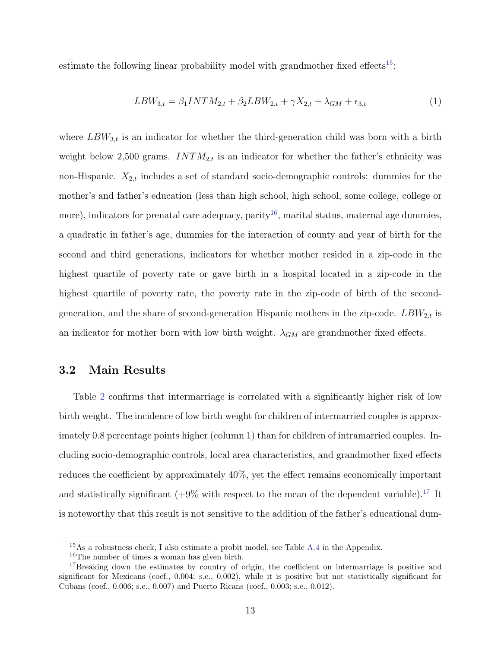estimate the following linear probability model with grandmother fixed effects<sup>[15](#page-13-0)</sup>:

$$
LBW_{3,t} = \beta_1 INTM_{2,t} + \beta_2 LBW_{2,t} + \gamma X_{2,t} + \lambda_{GM} + \epsilon_{3,t}
$$
 (1)

where  $LBW_{3,t}$  is an indicator for whether the third-generation child was born with a birth weight below 2,500 grams.  $INTM_{2,t}$  is an indicator for whether the father's ethnicity was non-Hispanic.  $X_{2,t}$  includes a set of standard socio-demographic controls: dummies for the mother's and father's education (less than high school, high school, some college, college or more), indicators for prenatal care adequacy, parity<sup>[16](#page-13-1)</sup>, marital status, maternal age dummies, a quadratic in father's age, dummies for the interaction of county and year of birth for the second and third generations, indicators for whether mother resided in a zip-code in the highest quartile of poverty rate or gave birth in a hospital located in a zip-code in the highest quartile of poverty rate, the poverty rate in the zip-code of birth of the secondgeneration, and the share of second-generation Hispanic mothers in the zip-code.  $LBW_{2,t}$  is an indicator for mother born with low birth weight.  $\lambda_{GM}$  are grandmother fixed effects.

#### 3.2 Main Results

Table [2](#page-29-0) confirms that intermarriage is correlated with a significantly higher risk of low birth weight. The incidence of low birth weight for children of intermarried couples is approximately 0.8 percentage points higher (column 1) than for children of intramarried couples. Including socio-demographic controls, local area characteristics, and grandmother fixed effects reduces the coefficient by approximately 40%, yet the effect remains economically important and statistically significant  $(+9\%$  with respect to the mean of the dependent variable).<sup>[17](#page-13-2)</sup> It is noteworthy that this result is not sensitive to the addition of the father's educational dum-

<span id="page-13-0"></span><sup>15</sup>As a robustness check, I also estimate a probit model, see Table [A.4](#page-42-0) in the Appendix.

<span id="page-13-2"></span><span id="page-13-1"></span><sup>16</sup>The number of times a woman has given birth.

<sup>&</sup>lt;sup>17</sup>Breaking down the estimates by country of origin, the coefficient on intermarriage is positive and significant for Mexicans (coef., 0.004; s.e., 0.002), while it is positive but not statistically significant for Cubans (coef., 0.006; s.e., 0.007) and Puerto Ricans (coef., 0.003; s.e., 0.012).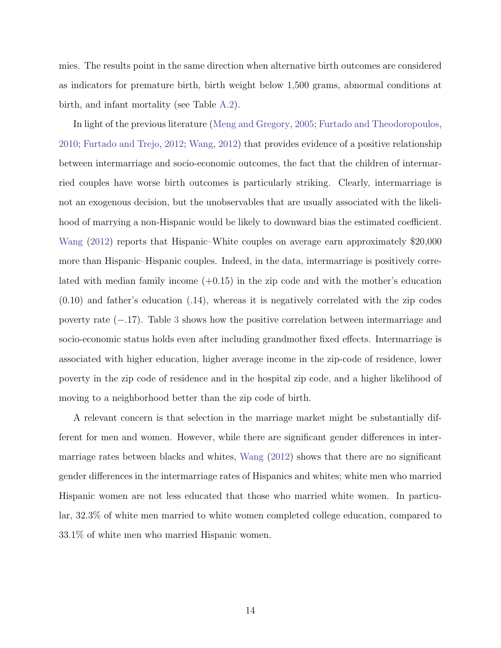mies. The results point in the same direction when alternative birth outcomes are considered as indicators for premature birth, birth weight below 1,500 grams, abnormal conditions at birth, and infant mortality (see Table [A.2\)](#page-40-0).

In light of the previous literature [\(Meng and Gregory,](#page-26-5) [2005;](#page-26-5) [Furtado and Theodoropoulos,](#page-25-6) [2010;](#page-25-6) [Furtado and Trejo,](#page-25-4) [2012;](#page-25-4) [Wang,](#page-27-0) [2012\)](#page-27-0) that provides evidence of a positive relationship between intermarriage and socio-economic outcomes, the fact that the children of intermarried couples have worse birth outcomes is particularly striking. Clearly, intermarriage is not an exogenous decision, but the unobservables that are usually associated with the likelihood of marrying a non-Hispanic would be likely to downward bias the estimated coefficient. [Wang](#page-27-0) [\(2012\)](#page-27-0) reports that Hispanic–White couples on average earn approximately \$20,000 more than Hispanic–Hispanic couples. Indeed, in the data, intermarriage is positively correlated with median family income  $(+0.15)$  in the zip code and with the mother's education (0.10) and father's education (.14), whereas it is negatively correlated with the zip codes poverty rate (−.17). Table [3](#page-30-0) shows how the positive correlation between intermarriage and socio-economic status holds even after including grandmother fixed effects. Intermarriage is associated with higher education, higher average income in the zip-code of residence, lower poverty in the zip code of residence and in the hospital zip code, and a higher likelihood of moving to a neighborhood better than the zip code of birth.

A relevant concern is that selection in the marriage market might be substantially different for men and women. However, while there are significant gender differences in intermarriage rates between blacks and whites, [Wang](#page-27-0) [\(2012\)](#page-27-0) shows that there are no significant gender differences in the intermarriage rates of Hispanics and whites; white men who married Hispanic women are not less educated that those who married white women. In particular, 32.3% of white men married to white women completed college education, compared to 33.1% of white men who married Hispanic women.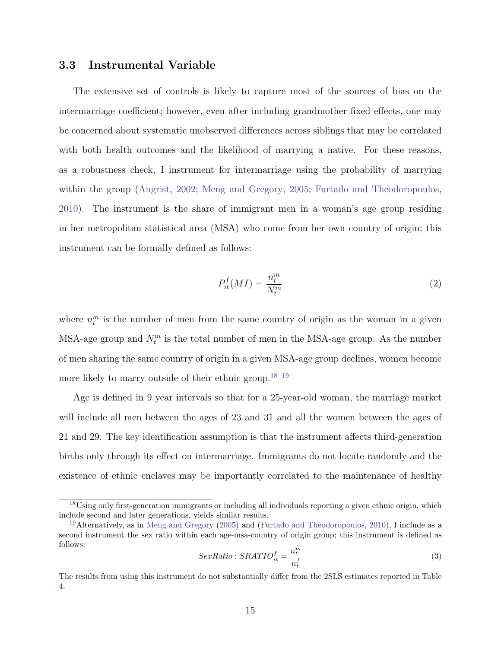#### 3.3 Instrumental Variable

The extensive set of controls is likely to capture most of the sources of bias on the intermarriage coefficient; however, even after including grandmother fixed effects, one may be concerned about systematic unobserved differences across siblings that may be correlated with both health outcomes and the likelihood of marrying a native. For these reasons, as a robustness check, I instrument for intermarriage using the probability of marrying within the group [\(Angrist,](#page-22-2) [2002;](#page-22-2) [Meng and Gregory,](#page-26-5) [2005;](#page-26-5) [Furtado and Theodoropoulos,](#page-25-6) [2010\)](#page-25-6). The instrument is the share of immigrant men in a woman's age group residing in her metropolitan statistical area (MSA) who come from her own country of origin; this instrument can be formally defined as follows:

$$
P_{it}^{f}(MI) = \frac{n_t^m}{N_t^m} \tag{2}
$$

where  $n_t^m$  is the number of men from the same country of origin as the woman in a given MSA-age group and  $N_t^m$  is the total number of men in the MSA-age group. As the number of men sharing the same country of origin in a given MSA-age group declines, women become more likely to marry outside of their ethnic group.<sup>[18](#page-15-0) [19](#page-15-1)</sup>

Age is defined in 9 year intervals so that for a 25-year-old woman, the marriage market will include all men between the ages of 23 and 31 and all the women between the ages of 21 and 29. The key identification assumption is that the instrument affects third-generation births only through its effect on intermarriage. Immigrants do not locate randomly and the existence of ethnic enclaves may be importantly correlated to the maintenance of healthy

$$
SexRatio : SRATIO_t^f = \frac{n_t^m}{n_t^f}
$$
\n
$$
\tag{3}
$$

<span id="page-15-0"></span><sup>&</sup>lt;sup>18</sup>Using only first-generation immigrants or including all individuals reporting a given ethnic origin, which include second and later generations, yields similar results.

<span id="page-15-1"></span><sup>19</sup>Alternatively, as in [Meng and Gregory](#page-26-5) [\(2005\)](#page-26-5) and [\(Furtado and Theodoropoulos,](#page-25-6) [2010\)](#page-25-6), I include as a second instrument the sex ratio within each age-msa-country of origin group; this instrument is defined as follows:

The results from using this instrument do not substantially differ from the 2SLS estimates reported in Table [4.](#page-31-0)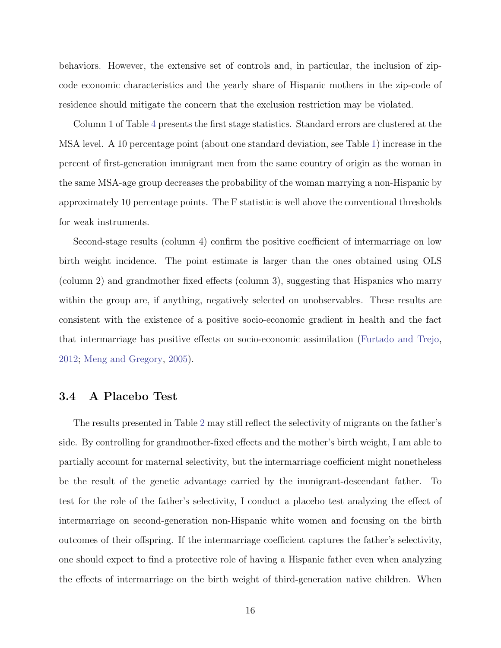behaviors. However, the extensive set of controls and, in particular, the inclusion of zipcode economic characteristics and the yearly share of Hispanic mothers in the zip-code of residence should mitigate the concern that the exclusion restriction may be violated.

Column 1 of Table [4](#page-31-0) presents the first stage statistics. Standard errors are clustered at the MSA level. A 10 percentage point (about one standard deviation, see Table [1\)](#page-28-0) increase in the percent of first-generation immigrant men from the same country of origin as the woman in the same MSA-age group decreases the probability of the woman marrying a non-Hispanic by approximately 10 percentage points. The F statistic is well above the conventional thresholds for weak instruments.

Second-stage results (column 4) confirm the positive coefficient of intermarriage on low birth weight incidence. The point estimate is larger than the ones obtained using OLS (column 2) and grandmother fixed effects (column 3), suggesting that Hispanics who marry within the group are, if anything, negatively selected on unobservables. These results are consistent with the existence of a positive socio-economic gradient in health and the fact that intermarriage has positive effects on socio-economic assimilation [\(Furtado and Trejo,](#page-25-4) [2012;](#page-25-4) [Meng and Gregory,](#page-26-5) [2005\)](#page-26-5).

### 3.4 A Placebo Test

The results presented in Table [2](#page-29-0) may still reflect the selectivity of migrants on the father's side. By controlling for grandmother-fixed effects and the mother's birth weight, I am able to partially account for maternal selectivity, but the intermarriage coefficient might nonetheless be the result of the genetic advantage carried by the immigrant-descendant father. To test for the role of the father's selectivity, I conduct a placebo test analyzing the effect of intermarriage on second-generation non-Hispanic white women and focusing on the birth outcomes of their offspring. If the intermarriage coefficient captures the father's selectivity, one should expect to find a protective role of having a Hispanic father even when analyzing the effects of intermarriage on the birth weight of third-generation native children. When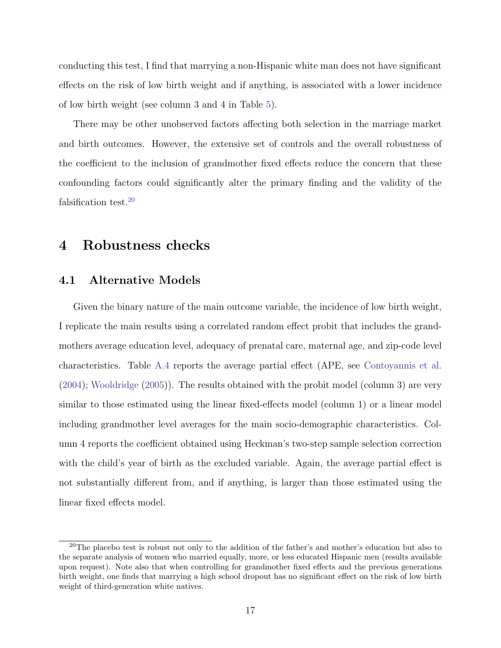conducting this test, I find that marrying a non-Hispanic white man does not have significant effects on the risk of low birth weight and if anything, is associated with a lower incidence of low birth weight (see column 3 and 4 in Table [5\)](#page-32-0).

There may be other unobserved factors affecting both selection in the marriage market and birth outcomes. However, the extensive set of controls and the overall robustness of the coefficient to the inclusion of grandmother fixed effects reduce the concern that these confounding factors could significantly alter the primary finding and the validity of the falsification test.[20](#page-17-0)

## 4 Robustness checks

#### 4.1 Alternative Models

Given the binary nature of the main outcome variable, the incidence of low birth weight, I replicate the main results using a correlated random effect probit that includes the grandmothers average education level, adequacy of prenatal care, maternal age, and zip-code level characteristics. Table [A.4](#page-42-0) reports the average partial effect (APE, see [Contoyannis et al.](#page-23-9) [\(2004\)](#page-23-9); [Wooldridge](#page-27-2) [\(2005\)](#page-27-2)). The results obtained with the probit model (column 3) are very similar to those estimated using the linear fixed-effects model (column 1) or a linear model including grandmother level averages for the main socio-demographic characteristics. Column 4 reports the coefficient obtained using Heckman's two-step sample selection correction with the child's year of birth as the excluded variable. Again, the average partial effect is not substantially different from, and if anything, is larger than those estimated using the linear fixed effects model.

<span id="page-17-0"></span><sup>&</sup>lt;sup>20</sup>The placebo test is robust not only to the addition of the father's and mother's education but also to the separate analysis of women who married equally, more, or less educated Hispanic men (results available upon request). Note also that when controlling for grandmother fixed effects and the previous generations birth weight, one finds that marrying a high school dropout has no significant effect on the risk of low birth weight of third-generation white natives.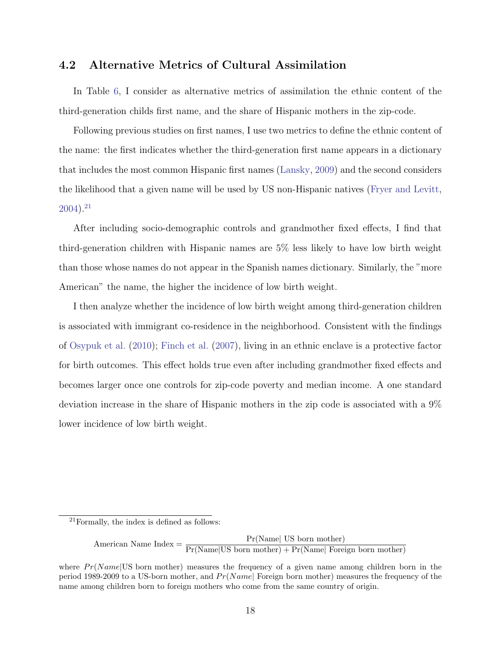#### 4.2 Alternative Metrics of Cultural Assimilation

In Table [6,](#page-33-0) I consider as alternative metrics of assimilation the ethnic content of the third-generation childs first name, and the share of Hispanic mothers in the zip-code.

Following previous studies on first names, I use two metrics to define the ethnic content of the name: the first indicates whether the third-generation first name appears in a dictionary that includes the most common Hispanic first names [\(Lansky,](#page-26-9) [2009\)](#page-26-9) and the second considers the likelihood that a given name will be used by US non-Hispanic natives [\(Fryer and Levitt,](#page-25-7)  $2004$ ).<sup>[21](#page-18-0)</sup>

After including socio-demographic controls and grandmother fixed effects, I find that third-generation children with Hispanic names are 5% less likely to have low birth weight than those whose names do not appear in the Spanish names dictionary. Similarly, the "more American" the name, the higher the incidence of low birth weight.

I then analyze whether the incidence of low birth weight among third-generation children is associated with immigrant co-residence in the neighborhood. Consistent with the findings of [Osypuk et al.](#page-26-10) [\(2010\)](#page-26-10); [Finch et al.](#page-25-2) [\(2007\)](#page-25-2), living in an ethnic enclave is a protective factor for birth outcomes. This effect holds true even after including grandmother fixed effects and becomes larger once one controls for zip-code poverty and median income. A one standard deviation increase in the share of Hispanic mothers in the zip code is associated with a 9% lower incidence of low birth weight.

American Name Index =  $\frac{\Pr(\text{Name} | \text{ US born mother})}{\Pr(\text{Name} | \text{US born mother}) + \Pr(\text{Name} | \text{ Foreign born mother})}$ 

<span id="page-18-0"></span><sup>21</sup>Formally, the index is defined as follows:

where  $Pr(Name|US)$  born mother) measures the frequency of a given name among children born in the period 1989-2009 to a US-born mother, and  $Pr(Name|$  Foreign born mother) measures the frequency of the name among children born to foreign mothers who come from the same country of origin.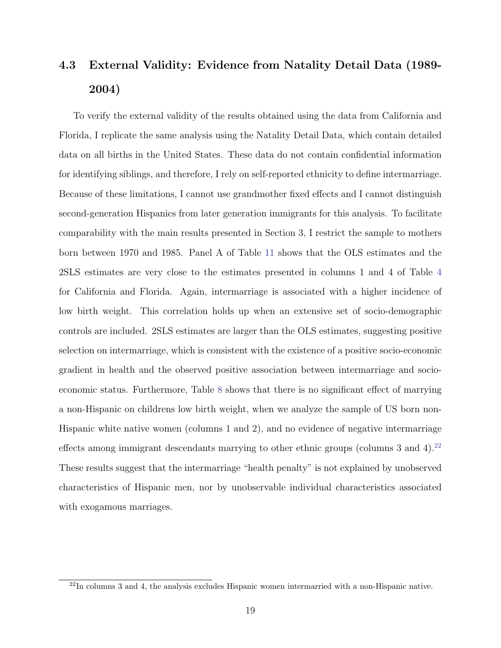## 4.3 External Validity: Evidence from Natality Detail Data (1989- 2004)

To verify the external validity of the results obtained using the data from California and Florida, I replicate the same analysis using the Natality Detail Data, which contain detailed data on all births in the United States. These data do not contain confidential information for identifying siblings, and therefore, I rely on self-reported ethnicity to define intermarriage. Because of these limitations, I cannot use grandmother fixed effects and I cannot distinguish second-generation Hispanics from later generation immigrants for this analysis. To facilitate comparability with the main results presented in Section 3, I restrict the sample to mothers born between 1970 and 1985. Panel A of Table [11](#page-38-0) shows that the OLS estimates and the 2SLS estimates are very close to the estimates presented in columns 1 and 4 of Table [4](#page-31-0) for California and Florida. Again, intermarriage is associated with a higher incidence of low birth weight. This correlation holds up when an extensive set of socio-demographic controls are included. 2SLS estimates are larger than the OLS estimates, suggesting positive selection on intermarriage, which is consistent with the existence of a positive socio-economic gradient in health and the observed positive association between intermarriage and socioeconomic status. Furthermore, Table [8](#page-35-0) shows that there is no significant effect of marrying a non-Hispanic on childrens low birth weight, when we analyze the sample of US born non-Hispanic white native women (columns 1 and 2), and no evidence of negative intermarriage effects among immigrant descendants marrying to other ethnic groups (columns 3 and 4).<sup>[22](#page-19-0)</sup> These results suggest that the intermarriage "health penalty" is not explained by unobserved characteristics of Hispanic men, nor by unobservable individual characteristics associated with exogamous marriages.

<span id="page-19-0"></span> $^{22}$ In columns 3 and 4, the analysis excludes Hispanic women intermarried with a non-Hispanic native.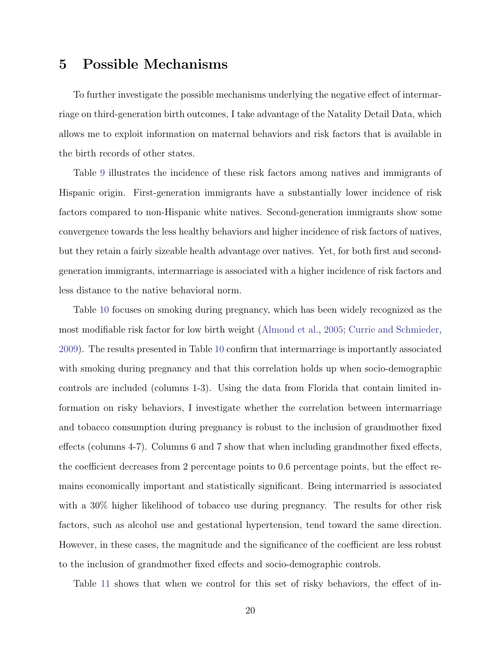## 5 Possible Mechanisms

To further investigate the possible mechanisms underlying the negative effect of intermarriage on third-generation birth outcomes, I take advantage of the Natality Detail Data, which allows me to exploit information on maternal behaviors and risk factors that is available in the birth records of other states.

Table [9](#page-36-0) illustrates the incidence of these risk factors among natives and immigrants of Hispanic origin. First-generation immigrants have a substantially lower incidence of risk factors compared to non-Hispanic white natives. Second-generation immigrants show some convergence towards the less healthy behaviors and higher incidence of risk factors of natives, but they retain a fairly sizeable health advantage over natives. Yet, for both first and secondgeneration immigrants, intermarriage is associated with a higher incidence of risk factors and less distance to the native behavioral norm.

Table [10](#page-37-0) focuses on smoking during pregnancy, which has been widely recognized as the most modifiable risk factor for low birth weight [\(Almond et al.,](#page-22-0) [2005;](#page-22-0) [Currie and Schmieder,](#page-24-8) [2009\)](#page-24-8). The results presented in Table [10](#page-37-0) confirm that intermarriage is importantly associated with smoking during pregnancy and that this correlation holds up when socio-demographic controls are included (columns 1-3). Using the data from Florida that contain limited information on risky behaviors, I investigate whether the correlation between intermarriage and tobacco consumption during pregnancy is robust to the inclusion of grandmother fixed effects (columns 4-7). Columns 6 and 7 show that when including grandmother fixed effects, the coefficient decreases from 2 percentage points to 0.6 percentage points, but the effect remains economically important and statistically significant. Being intermarried is associated with a 30% higher likelihood of tobacco use during pregnancy. The results for other risk factors, such as alcohol use and gestational hypertension, tend toward the same direction. However, in these cases, the magnitude and the significance of the coefficient are less robust to the inclusion of grandmother fixed effects and socio-demographic controls.

Table [11](#page-38-0) shows that when we control for this set of risky behaviors, the effect of in-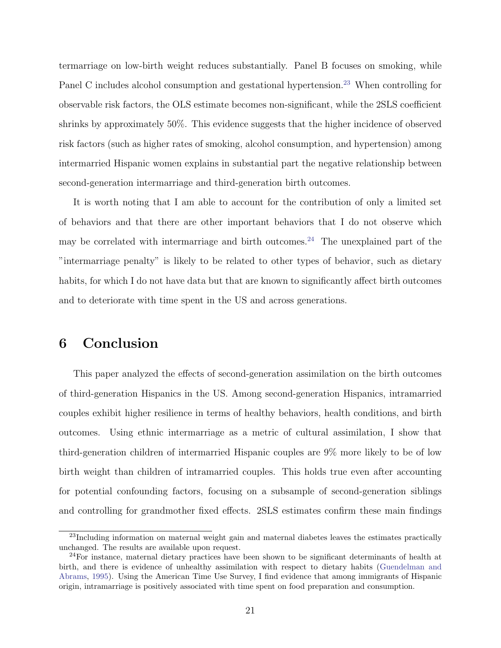termarriage on low-birth weight reduces substantially. Panel B focuses on smoking, while Panel C includes alcohol consumption and gestational hypertension.<sup>[23](#page-21-0)</sup> When controlling for observable risk factors, the OLS estimate becomes non-significant, while the 2SLS coefficient shrinks by approximately 50%. This evidence suggests that the higher incidence of observed risk factors (such as higher rates of smoking, alcohol consumption, and hypertension) among intermarried Hispanic women explains in substantial part the negative relationship between second-generation intermarriage and third-generation birth outcomes.

It is worth noting that I am able to account for the contribution of only a limited set of behaviors and that there are other important behaviors that I do not observe which may be correlated with intermarriage and birth outcomes.<sup>[24](#page-21-1)</sup> The unexplained part of the "intermarriage penalty" is likely to be related to other types of behavior, such as dietary habits, for which I do not have data but that are known to significantly affect birth outcomes and to deteriorate with time spent in the US and across generations.

## 6 Conclusion

This paper analyzed the effects of second-generation assimilation on the birth outcomes of third-generation Hispanics in the US. Among second-generation Hispanics, intramarried couples exhibit higher resilience in terms of healthy behaviors, health conditions, and birth outcomes. Using ethnic intermarriage as a metric of cultural assimilation, I show that third-generation children of intermarried Hispanic couples are 9% more likely to be of low birth weight than children of intramarried couples. This holds true even after accounting for potential confounding factors, focusing on a subsample of second-generation siblings and controlling for grandmother fixed effects. 2SLS estimates confirm these main findings

<span id="page-21-0"></span><sup>&</sup>lt;sup>23</sup>Including information on maternal weight gain and maternal diabetes leaves the estimates practically unchanged. The results are available upon request.

<span id="page-21-1"></span><sup>24</sup>For instance, maternal dietary practices have been shown to be significant determinants of health at birth, and there is evidence of unhealthy assimilation with respect to dietary habits [\(Guendelman and](#page-25-8) [Abrams,](#page-25-8) [1995\)](#page-25-8). Using the American Time Use Survey, I find evidence that among immigrants of Hispanic origin, intramarriage is positively associated with time spent on food preparation and consumption.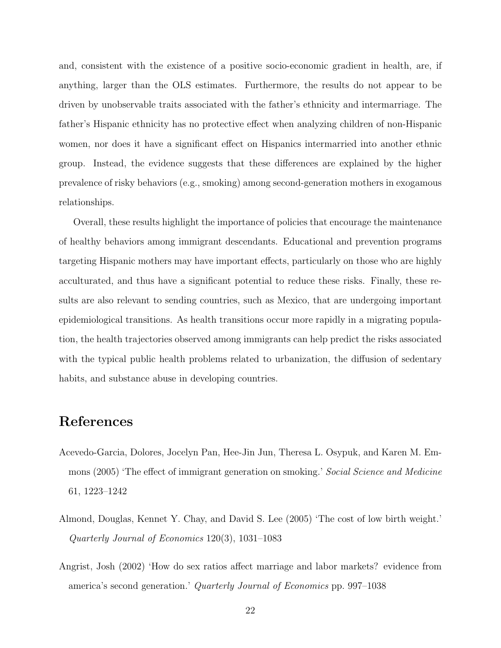and, consistent with the existence of a positive socio-economic gradient in health, are, if anything, larger than the OLS estimates. Furthermore, the results do not appear to be driven by unobservable traits associated with the father's ethnicity and intermarriage. The father's Hispanic ethnicity has no protective effect when analyzing children of non-Hispanic women, nor does it have a significant effect on Hispanics intermarried into another ethnic group. Instead, the evidence suggests that these differences are explained by the higher prevalence of risky behaviors (e.g., smoking) among second-generation mothers in exogamous relationships.

Overall, these results highlight the importance of policies that encourage the maintenance of healthy behaviors among immigrant descendants. Educational and prevention programs targeting Hispanic mothers may have important effects, particularly on those who are highly acculturated, and thus have a significant potential to reduce these risks. Finally, these results are also relevant to sending countries, such as Mexico, that are undergoing important epidemiological transitions. As health transitions occur more rapidly in a migrating population, the health trajectories observed among immigrants can help predict the risks associated with the typical public health problems related to urbanization, the diffusion of sedentary habits, and substance abuse in developing countries.

## References

- <span id="page-22-1"></span>Acevedo-Garcia, Dolores, Jocelyn Pan, Hee-Jin Jun, Theresa L. Osypuk, and Karen M. Emmons (2005) 'The effect of immigrant generation on smoking.' Social Science and Medicine 61, 1223–1242
- <span id="page-22-0"></span>Almond, Douglas, Kennet Y. Chay, and David S. Lee (2005) 'The cost of low birth weight.' Quarterly Journal of Economics 120(3), 1031–1083
- <span id="page-22-2"></span>Angrist, Josh (2002) 'How do sex ratios affect marriage and labor markets? evidence from america's second generation.' Quarterly Journal of Economics pp. 997–1038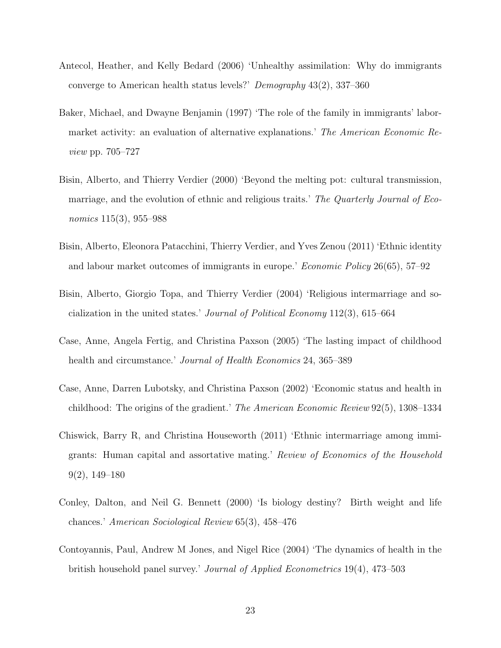- <span id="page-23-0"></span>Antecol, Heather, and Kelly Bedard (2006) 'Unhealthy assimilation: Why do immigrants converge to American health status levels?' Demography 43(2), 337–360
- <span id="page-23-6"></span>Baker, Michael, and Dwayne Benjamin (1997) 'The role of the family in immigrants' labormarket activity: an evaluation of alternative explanations.' The American Economic Review pp. 705–727
- <span id="page-23-4"></span>Bisin, Alberto, and Thierry Verdier (2000) 'Beyond the melting pot: cultural transmission, marriage, and the evolution of ethnic and religious traits.' The Quarterly Journal of Economics 115(3), 955–988
- <span id="page-23-3"></span>Bisin, Alberto, Eleonora Patacchini, Thierry Verdier, and Yves Zenou (2011) 'Ethnic identity and labour market outcomes of immigrants in europe.' Economic Policy 26(65), 57–92
- <span id="page-23-5"></span>Bisin, Alberto, Giorgio Topa, and Thierry Verdier (2004) 'Religious intermarriage and socialization in the united states.' Journal of Political Economy 112(3), 615–664
- <span id="page-23-2"></span>Case, Anne, Angela Fertig, and Christina Paxson (2005) 'The lasting impact of childhood health and circumstance.' *Journal of Health Economics* 24, 365–389
- <span id="page-23-8"></span>Case, Anne, Darren Lubotsky, and Christina Paxson (2002) 'Economic status and health in childhood: The origins of the gradient.' The American Economic Review 92(5), 1308–1334
- <span id="page-23-7"></span>Chiswick, Barry R, and Christina Houseworth (2011) 'Ethnic intermarriage among immigrants: Human capital and assortative mating.' Review of Economics of the Household 9(2), 149–180
- <span id="page-23-1"></span>Conley, Dalton, and Neil G. Bennett (2000) 'Is biology destiny? Birth weight and life chances.' American Sociological Review 65(3), 458–476
- <span id="page-23-9"></span>Contoyannis, Paul, Andrew M Jones, and Nigel Rice (2004) 'The dynamics of health in the british household panel survey.' Journal of Applied Econometrics 19(4), 473–503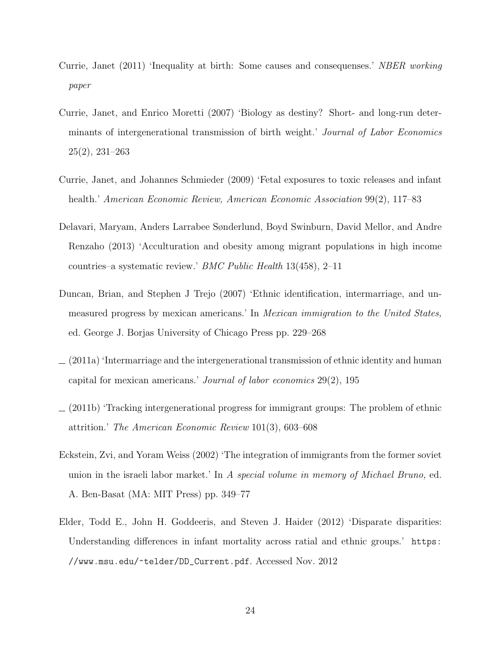- <span id="page-24-2"></span>Currie, Janet (2011) 'Inequality at birth: Some causes and consequenses.' NBER working paper
- <span id="page-24-1"></span>Currie, Janet, and Enrico Moretti (2007) 'Biology as destiny? Short- and long-run determinants of intergenerational transmission of birth weight.' Journal of Labor Economics 25(2), 231–263
- <span id="page-24-8"></span>Currie, Janet, and Johannes Schmieder (2009) 'Fetal exposures to toxic releases and infant health.' American Economic Review, American Economic Association 99(2), 117–83
- <span id="page-24-3"></span>Delavari, Maryam, Anders Larrabee Sønderlund, Boyd Swinburn, David Mellor, and Andre Renzaho (2013) 'Acculturation and obesity among migrant populations in high income countries–a systematic review.' BMC Public Health 13(458), 2–11
- <span id="page-24-5"></span>Duncan, Brian, and Stephen J Trejo (2007) 'Ethnic identification, intermarriage, and unmeasured progress by mexican americans.' In Mexican immigration to the United States, ed. George J. Borjas University of Chicago Press pp. 229–268
- <span id="page-24-6"></span> $(2011a)$  'Intermarriage and the intergenerational transmission of ethnic identity and human capital for mexican americans.' Journal of labor economics 29(2), 195
- <span id="page-24-7"></span>(2011b) 'Tracking intergenerational progress for immigrant groups: The problem of ethnic attrition.' The American Economic Review 101(3), 603–608
- <span id="page-24-4"></span>Eckstein, Zvi, and Yoram Weiss (2002) 'The integration of immigrants from the former soviet union in the israeli labor market.' In A special volume in memory of Michael Bruno, ed. A. Ben-Basat (MA: MIT Press) pp. 349–77
- <span id="page-24-0"></span>Elder, Todd E., John H. Goddeeris, and Steven J. Haider (2012) 'Disparate disparities: Understanding differences in infant mortality across ratial and ethnic groups.' [https:](https://www.msu.edu/~telder/DD_Current.pdf) [//www.msu.edu/~telder/DD\\_Current.pdf](https://www.msu.edu/~telder/DD_Current.pdf). Accessed Nov. 2012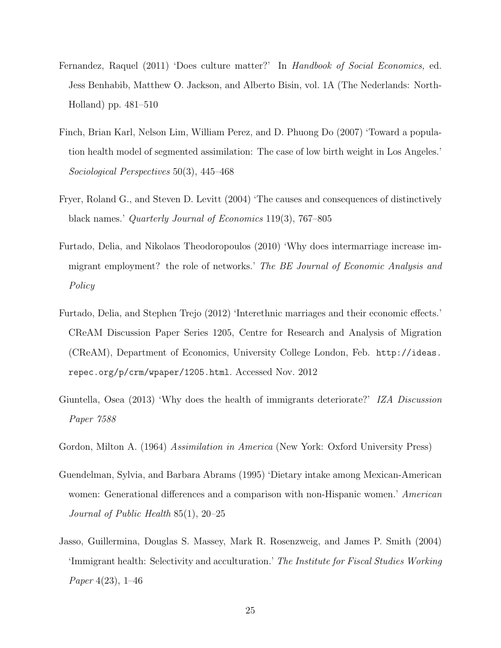- <span id="page-25-3"></span>Fernandez, Raquel (2011) 'Does culture matter?' In Handbook of Social Economics, ed. Jess Benhabib, Matthew O. Jackson, and Alberto Bisin, vol. 1A (The Nederlands: North-Holland) pp. 481–510
- <span id="page-25-2"></span>Finch, Brian Karl, Nelson Lim, William Perez, and D. Phuong Do (2007) 'Toward a population health model of segmented assimilation: The case of low birth weight in Los Angeles.' Sociological Perspectives 50(3), 445–468
- <span id="page-25-7"></span>Fryer, Roland G., and Steven D. Levitt (2004) 'The causes and consequences of distinctively black names.' Quarterly Journal of Economics 119(3), 767–805
- <span id="page-25-6"></span>Furtado, Delia, and Nikolaos Theodoropoulos (2010) 'Why does intermarriage increase immigrant employment? the role of networks.' The BE Journal of Economic Analysis and Policy
- <span id="page-25-4"></span>Furtado, Delia, and Stephen Trejo (2012) 'Interethnic marriages and their economic effects.' CReAM Discussion Paper Series 1205, Centre for Research and Analysis of Migration (CReAM), Department of Economics, University College London, Feb. [http://ideas.](http://ideas.repec.org/p/crm/wpaper/1205.html) [repec.org/p/crm/wpaper/1205.html](http://ideas.repec.org/p/crm/wpaper/1205.html). Accessed Nov. 2012
- <span id="page-25-0"></span>Giuntella, Osea (2013) 'Why does the health of immigrants deteriorate?' IZA Discussion Paper 7588
- <span id="page-25-5"></span>Gordon, Milton A. (1964) Assimilation in America (New York: Oxford University Press)
- <span id="page-25-8"></span>Guendelman, Sylvia, and Barbara Abrams (1995) 'Dietary intake among Mexican-American women: Generational differences and a comparison with non-Hispanic women.' American Journal of Public Health 85(1), 20–25
- <span id="page-25-1"></span>Jasso, Guillermina, Douglas S. Massey, Mark R. Rosenzweig, and James P. Smith (2004) 'Immigrant health: Selectivity and acculturation.' The Institute for Fiscal Studies Working Paper 4(23), 1–46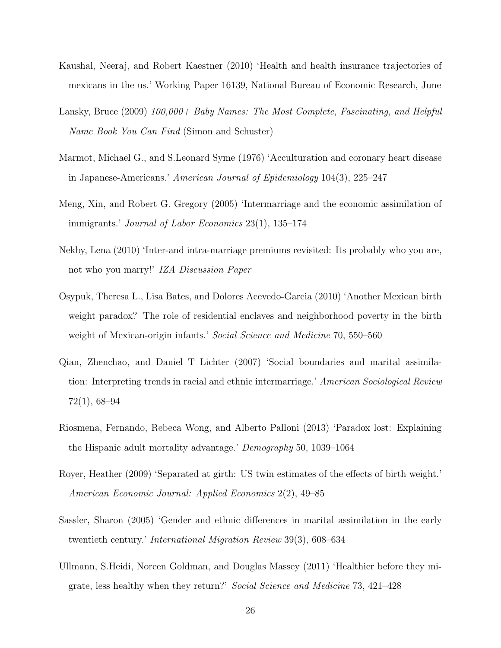- <span id="page-26-2"></span>Kaushal, Neeraj, and Robert Kaestner (2010) 'Health and health insurance trajectories of mexicans in the us.' Working Paper 16139, National Bureau of Economic Research, June
- <span id="page-26-9"></span>Lansky, Bruce (2009) 100,000+ Baby Names: The Most Complete, Fascinating, and Helpful Name Book You Can Find (Simon and Schuster)
- <span id="page-26-4"></span>Marmot, Michael G., and S.Leonard Syme (1976) 'Acculturation and coronary heart disease in Japanese-Americans.' American Journal of Epidemiology 104(3), 225–247
- <span id="page-26-5"></span>Meng, Xin, and Robert G. Gregory (2005) 'Intermarriage and the economic assimilation of immigrants.' Journal of Labor Economics 23(1), 135–174
- <span id="page-26-3"></span>Nekby, Lena (2010) 'Inter-and intra-marriage premiums revisited: Its probably who you are, not who you marry!' IZA Discussion Paper
- <span id="page-26-10"></span>Osypuk, Theresa L., Lisa Bates, and Dolores Acevedo-Garcia (2010) 'Another Mexican birth weight paradox? The role of residential enclaves and neighborhood poverty in the birth weight of Mexican-origin infants.' Social Science and Medicine 70, 550–560
- <span id="page-26-6"></span>Qian, Zhenchao, and Daniel T Lichter (2007) 'Social boundaries and marital assimilation: Interpreting trends in racial and ethnic intermarriage.' American Sociological Review 72(1), 68–94
- <span id="page-26-0"></span>Riosmena, Fernando, Rebeca Wong, and Alberto Palloni (2013) 'Paradox lost: Explaining the Hispanic adult mortality advantage.' Demography 50, 1039–1064
- <span id="page-26-8"></span>Royer, Heather (2009) 'Separated at girth: US twin estimates of the effects of birth weight.' American Economic Journal: Applied Economics 2(2), 49–85
- <span id="page-26-7"></span>Sassler, Sharon (2005) 'Gender and ethnic differences in marital assimilation in the early twentieth century.' International Migration Review 39(3), 608–634
- <span id="page-26-1"></span>Ullmann, S.Heidi, Noreen Goldman, and Douglas Massey (2011) 'Healthier before they migrate, less healthy when they return?' Social Science and Medicine 73, 421–428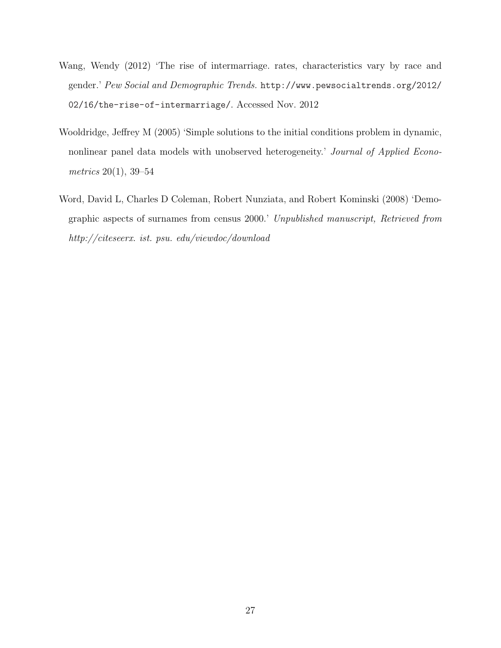- <span id="page-27-0"></span>Wang, Wendy (2012) 'The rise of intermarriage. rates, characteristics vary by race and gender.' Pew Social and Demographic Trends. [http://www.pewsocialtrends.org/2012/](http://www.pewsocialtrends.org/2012/02/16/the-rise-of-intermarriage/) [02/16/the-rise-of-intermarriage/](http://www.pewsocialtrends.org/2012/02/16/the-rise-of-intermarriage/). Accessed Nov. 2012
- <span id="page-27-2"></span>Wooldridge, Jeffrey M (2005) 'Simple solutions to the initial conditions problem in dynamic, nonlinear panel data models with unobserved heterogeneity.' Journal of Applied Econometrics 20(1), 39–54
- <span id="page-27-1"></span>Word, David L, Charles D Coleman, Robert Nunziata, and Robert Kominski (2008) 'Demographic aspects of surnames from census 2000.' Unpublished manuscript, Retrieved from http://citeseerx. ist. psu. edu/viewdoc/download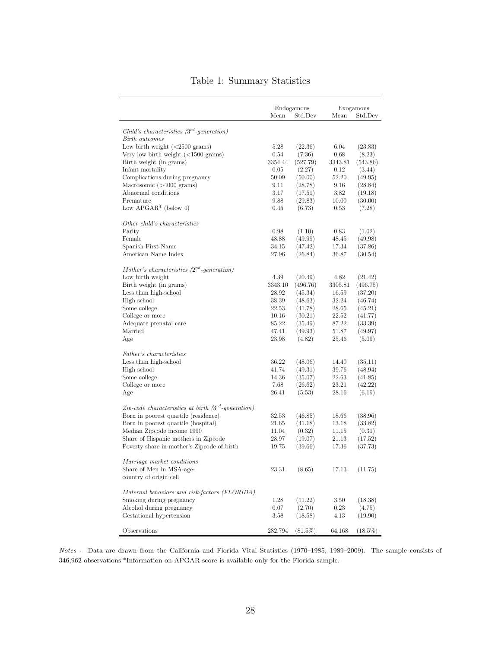<span id="page-28-0"></span>

|                                                                        | Mean    | Endogamous<br>Std.Dev | Mean    | Exogamous<br>Std.Dev |
|------------------------------------------------------------------------|---------|-----------------------|---------|----------------------|
|                                                                        |         |                       |         |                      |
| Child's characteristics $(3^{rd}\text{-}generation)$<br>Birth outcomes |         |                       |         |                      |
| Low birth weight $(<2500$ grams)                                       | 5.28    | (22.36)               | 6.04    | (23.83)              |
| Very low birth weight $(<1500$ grams)                                  | 0.54    | (7.36)                | 0.68    | (8.23)               |
| Birth weight (in grams)                                                | 3354.44 | (527.79)              | 3343.81 | (543.86)             |
| Infant mortality                                                       | 0.05    | (2.27)                | 0.12    | (3.44)               |
| Complications during pregnancy                                         | 50.09   | (50.00)               | 52.20   | (49.95)              |
| Macrosomic $($ >4000 grams $)$                                         | 9.11    | (28.78)               | 9.16    | (28.84)              |
| Abnormal conditions                                                    | 3.17    | (17.51)               | 3.82    | (19.18)              |
| Premature                                                              | 9.88    | (29.83)               | 10.00   | (30.00)              |
| Low APGAR* (below 4)                                                   | 0.45    | (6.73)                | 0.53    | (7.28)               |
| Other child's characteristics                                          |         |                       |         |                      |
| Parity                                                                 | 0.98    | (1.10)                | 0.83    | (1.02)               |
| Female                                                                 | 48.88   | (49.99)               | 48.45   | (49.98)              |
| Spanish First-Name                                                     | 34.15   | (47.42)               | 17.34   | (37.86)              |
| American Name Index                                                    | 27.96   | (26.84)               | 36.87   | (30.54)              |
| Mother's characteristics $(2^{nd}$ -generation)                        |         |                       |         |                      |
| Low birth weight                                                       | 4.39    | (20.49)               | 4.82    | (21.42)              |
| Birth weight (in grams)                                                | 3343.10 | (496.76)              | 3305.81 | (496.75)             |
| Less than high-school                                                  | 28.92   | (45.34)               | 16.59   | (37.20)              |
| High school                                                            | 38.39   | (48.63)               | 32.24   | (46.74)              |
| Some college                                                           | 22.53   | (41.78)               | 28.65   | (45.21)              |
| College or more                                                        | 10.16   | (30.21)               | 22.52   | (41.77)              |
| Adequate prenatal care                                                 | 85.22   | (35.49)               | 87.22   | (33.39)              |
| Married                                                                | 47.41   | (49.93)               | 51.87   | (49.97)              |
| Age                                                                    | 23.98   | (4.82)                | 25.46   | (5.09)               |
| Father's characteristics                                               |         |                       |         |                      |
| Less than high-school                                                  | 36.22   | (48.06)               | 14.40   | (35.11)              |
| High school                                                            | 41.74   | (49.31)               | 39.76   | (48.94)              |
| Some college                                                           | 14.36   | (35.07)               | 22.63   | (41.85)              |
| College or more                                                        | 7.68    | (26.62)               | 23.21   | (42.22)              |
| Age                                                                    | 26.41   | (5.53)                | 28.16   | (6.19)               |
| Zip-code characteristics at birth $(3^{rd}$ -generation)               |         |                       |         |                      |
| Born in poorest quartile (residence)                                   | 32.53   | (46.85)               | 18.66   | (38.96)              |
| Born in poorest quartile (hospital)                                    | 21.65   | (41.18)               | 13.18   | (33.82)              |
| Median Zipcode income 1990                                             | 11.04   | (0.32)                | 11.15   | (0.31)               |
| Share of Hispanic mothers in Zipcode                                   | 28.97   | (19.07)               | 21.13   | (17.52)              |
| Poverty share in mother's Zipcode of birth                             | 19.75   | (39.66)               | 17.36   | (37.73)              |
| Marriage market conditions                                             |         |                       |         |                      |
| Share of Men in MSA-age-                                               | 23.31   | (8.65)                | 17.13   | (11.75)              |
| country of origin cell                                                 |         |                       |         |                      |
| Maternal behaviors and risk-factors (FLORIDA)                          |         |                       |         |                      |
| Smoking during pregnancy                                               | 1.28    | (11.22)               | 3.50    | (18.38)              |
| Alcohol during pregnancy                                               | 0.07    | (2.70)                | 0.23    | (4.75)               |
| Gestational hypertension                                               | 3.58    | (18.58)               | 4.13    | (19.90)              |
| Observations                                                           | 282,794 | $(81.5\%)$            | 64,168  | $(18.5\%)$           |

### Table 1: Summary Statistics

Notes - Data are drawn from the California and Florida Vital Statistics (1970–1985, 1989–2009). The sample consists of 346,962 observations.\*Information on APGAR score is available only for the Florida sample.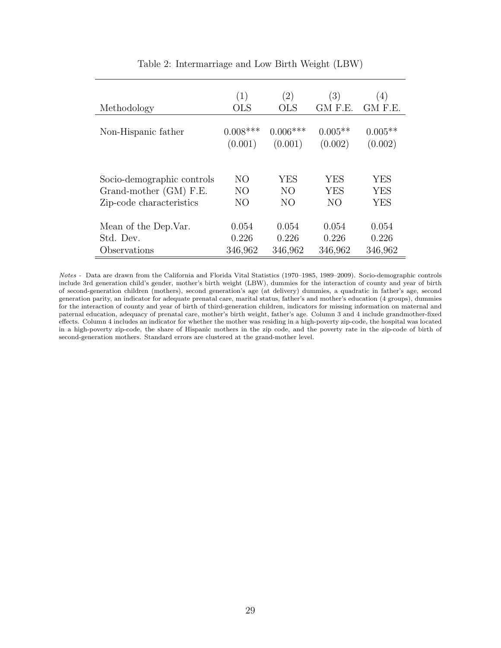<span id="page-29-0"></span>

|                            | (1)            | (2)        | (3)        | (4)        |
|----------------------------|----------------|------------|------------|------------|
| Methodology                | <b>OLS</b>     | <b>OLS</b> | GM F.E.    | GM F.E.    |
| Non-Hispanic father        | $0.008***$     | $0.006***$ | $0.005**$  | $0.005**$  |
|                            | (0.001)        | (0.001)    | (0.002)    | (0.002)    |
| Socio-demographic controls | NO             | YES        | <b>YES</b> | <b>YES</b> |
| Grand-mother (GM) F.E.     | N <sub>O</sub> | NO.        | <b>YES</b> | <b>YES</b> |
| Zip-code characteristics   | NO             | NO         | NO.        | YES        |
| Mean of the Dep. Var.      | 0.054          | 0.054      | 0.054      | 0.054      |
| Std. Dev.                  | 0.226          | 0.226      | 0.226      | 0.226      |
| Observations               | 346,962        | 346,962    | 346,962    | 346,962    |

Table 2: Intermarriage and Low Birth Weight (LBW)

Notes - Data are drawn from the California and Florida Vital Statistics (1970–1985, 1989–2009). Socio-demographic controls include 3rd generation child's gender, mother's birth weight (LBW), dummies for the interaction of county and year of birth of second-generation children (mothers), second generation's age (at delivery) dummies, a quadratic in father's age, second generation parity, an indicator for adequate prenatal care, marital status, father's and mother's education (4 groups), dummies for the interaction of county and year of birth of third-generation children, indicators for missing information on maternal and paternal education, adequacy of prenatal care, mother's birth weight, father's age. Column 3 and 4 include grandmother-fixed effects. Column 4 includes an indicator for whether the mother was residing in a high-poverty zip-code, the hospital was located in a high-poverty zip-code, the share of Hispanic mothers in the zip code, and the poverty rate in the zip-code of birth of second-generation mothers. Standard errors are clustered at the grand-mother level.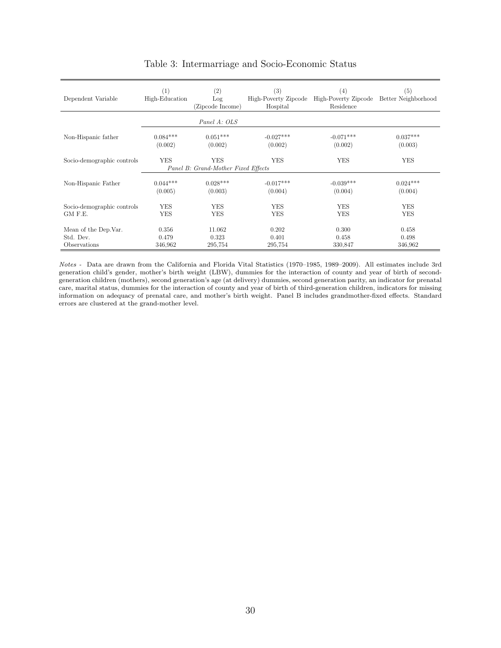<span id="page-30-0"></span>

| Dependent Variable         | (1)<br>High-Education | $\left( 2\right)$<br>Log<br>(Zipcode Income) | (3)<br>High-Poverty Zipcode<br>Hospital | (4)<br>High-Poverty Zipcode Better Neighborhood<br>Residence | (5)        |
|----------------------------|-----------------------|----------------------------------------------|-----------------------------------------|--------------------------------------------------------------|------------|
|                            |                       | Panel A: OLS                                 |                                         |                                                              |            |
| Non-Hispanic father        | $0.084***$            | $0.051***$                                   | $-0.027***$                             | $-0.071***$                                                  | $0.037***$ |
|                            | (0.002)               | (0.002)                                      | (0.002)                                 | (0.002)                                                      | (0.003)    |
| Socio-demographic controls | <b>YES</b>            | YES<br>Panel B: Grand-Mother Fixed Effects   | <b>YES</b>                              | <b>YES</b>                                                   | <b>YES</b> |
| Non-Hispanic Father        | $0.044***$            | $0.028***$                                   | $-0.017***$                             | $-0.039***$                                                  | $0.024***$ |
|                            | (0.005)               | (0.003)                                      | (0.004)                                 | (0.004)                                                      | (0.004)    |
| Socio-demographic controls | <b>YES</b>            | <b>YES</b>                                   | <b>YES</b>                              | <b>YES</b>                                                   | <b>YES</b> |
| GM F.E.                    | <b>YES</b>            | YES                                          | <b>YES</b>                              | <b>YES</b>                                                   | <b>YES</b> |
| Mean of the Dep. Var.      | 0.356                 | 11.062                                       | 0.202                                   | 0.300                                                        | 0.458      |
| Std. Dev.                  | 0.479                 | 0.323                                        | 0.401                                   | 0.458                                                        | 0.498      |
| Observations               | 346,962               | 295,754                                      | 295,754                                 | 330,847                                                      | 346,962    |

#### Table 3: Intermarriage and Socio-Economic Status

Notes - Data are drawn from the California and Florida Vital Statistics (1970–1985, 1989–2009). All estimates include 3rd generation child's gender, mother's birth weight (LBW), dummies for the interaction of county and year of birth of secondgeneration children (mothers), second generation's age (at delivery) dummies, second generation parity, an indicator for prenatal care, marital status, dummies for the interaction of county and year of birth of third-generation children, indicators for missing information on adequacy of prenatal care, and mother's birth weight. Panel B includes grandmother-fixed effects. Standard errors are clustered at the grand-mother level.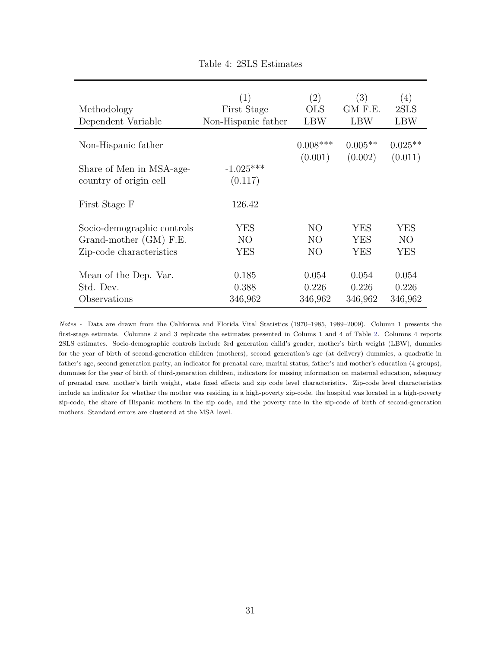<span id="page-31-0"></span>

|                            | (1)                 | (2)        | (3)        | (4)        |
|----------------------------|---------------------|------------|------------|------------|
| Methodology                | First Stage         | <b>OLS</b> | GM F.E.    | 2SLS       |
| Dependent Variable         | Non-Hispanic father | <b>LBW</b> | <b>LBW</b> | <b>LBW</b> |
|                            |                     |            |            |            |
| Non-Hispanic father        |                     | $0.008***$ | $0.005**$  | $0.025**$  |
|                            |                     | (0.001)    | (0.002)    | (0.011)    |
| Share of Men in MSA-age-   | $-1.025***$         |            |            |            |
| country of origin cell     | (0.117)             |            |            |            |
|                            |                     |            |            |            |
| First Stage F              | 126.42              |            |            |            |
|                            |                     |            |            |            |
| Socio-demographic controls | YES                 | NO         | <b>YES</b> | YES        |
| Grand-mother (GM) F.E.     | NO <sub>1</sub>     | NO         | <b>YES</b> | NO.        |
| Zip-code characteristics   | YES                 | NO         | YES        | YES        |
|                            |                     |            |            |            |
| Mean of the Dep. Var.      | 0.185               | 0.054      | 0.054      | 0.054      |
| Std. Dev.                  | 0.388               | 0.226      | 0.226      | 0.226      |
| Observations               | 346,962             | 346,962    | 346,962    | 346,962    |

|  | Table 4: 2SLS Estimates |
|--|-------------------------|
|  |                         |

Notes - Data are drawn from the California and Florida Vital Statistics (1970–1985, 1989–2009). Column 1 presents the first-stage estimate. Columns 2 and 3 replicate the estimates presented in Colums 1 and 4 of Table [2.](#page-29-0) Columns 4 reports 2SLS estimates. Socio-demographic controls include 3rd generation child's gender, mother's birth weight (LBW), dummies for the year of birth of second-generation children (mothers), second generation's age (at delivery) dummies, a quadratic in father's age, second generation parity, an indicator for prenatal care, marital status, father's and mother's education (4 groups), dummies for the year of birth of third-generation children, indicators for missing information on maternal education, adequacy of prenatal care, mother's birth weight, state fixed effects and zip code level characteristics. Zip-code level characteristics include an indicator for whether the mother was residing in a high-poverty zip-code, the hospital was located in a high-poverty zip-code, the share of Hispanic mothers in the zip code, and the poverty rate in the zip-code of birth of second-generation mothers. Standard errors are clustered at the MSA level.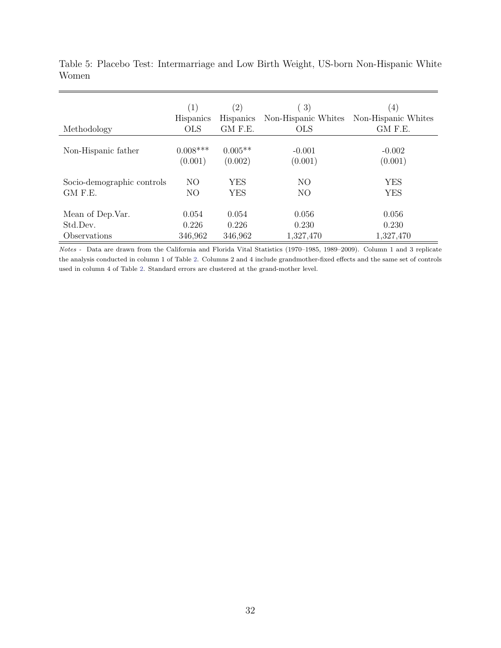| Methodology                | $\left( 1\right)$ | $\left( 2\right)$ | 3)                  | $\left(4\right)$    |
|----------------------------|-------------------|-------------------|---------------------|---------------------|
|                            | <b>Hispanics</b>  | <b>Hispanics</b>  | Non-Hispanic Whites | Non-Hispanic Whites |
|                            | <b>OLS</b>        | GM F.E.           | <b>OLS</b>          | GM F.E.             |
| Non-Hispanic father        | $0.008***$        | $0.005**$         | $-0.001$            | $-0.002$            |
|                            | (0.001)           | (0.002)           | (0.001)             | (0.001)             |
| Socio-demographic controls | NO                | <b>YES</b>        | NO                  | <b>YES</b>          |
| GM F.E.                    | NO                | <b>YES</b>        | NO                  | <b>YES</b>          |
| Mean of Dep.Var.           | 0.054             | 0.054             | 0.056               | 0.056               |
| Std.Dev.                   | 0.226             | 0.226             | 0.230               | 0.230               |
| Observations               | 346,962           | 346,962           | 1,327,470           | 1,327,470           |

<span id="page-32-0"></span>Table 5: Placebo Test: Intermarriage and Low Birth Weight, US-born Non-Hispanic White Women

Notes - Data are drawn from the California and Florida Vital Statistics (1970–1985, 1989–2009). Column 1 and 3 replicate the analysis conducted in column 1 of Table [2.](#page-29-0) Columns 2 and 4 include grandmother-fixed effects and the same set of controls used in column 4 of Table [2.](#page-29-0) Standard errors are clustered at the grand-mother level.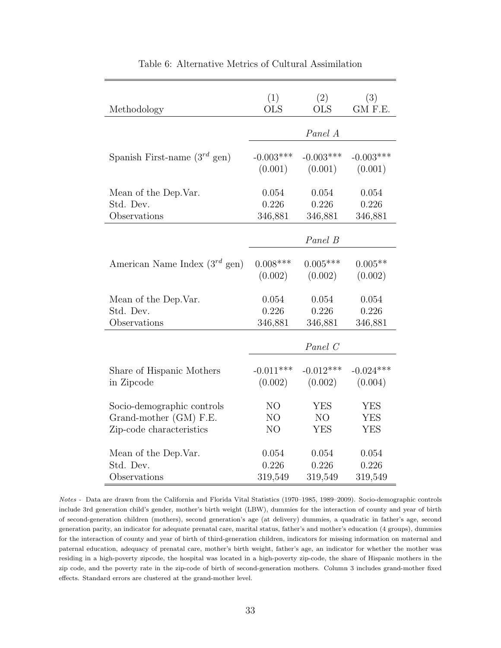<span id="page-33-0"></span>

| Methodology                        | (1)            | (2)         | (3)         |
|------------------------------------|----------------|-------------|-------------|
|                                    | <b>OLS</b>     | <b>OLS</b>  | GM F.E.     |
|                                    |                | Panel A     |             |
| Spanish First-name $(3^{rd}$ gen)  | $-0.003***$    | $-0.003***$ | $-0.003***$ |
|                                    | (0.001)        | (0.001)     | (0.001)     |
| Mean of the Dep. Var.              | 0.054          | 0.054       | 0.054       |
| Std. Dev.                          | 0.226          | 0.226       | 0.226       |
| Observations                       | 346,881        | 346,881     | 346,881     |
|                                    |                | Panel B     |             |
| American Name Index $(3^{rd}$ gen) | $0.008***$     | $0.005***$  | $0.005**$   |
|                                    | (0.002)        | (0.002)     | (0.002)     |
| Mean of the Dep. Var.              | 0.054          | 0.054       | 0.054       |
| Std. Dev.                          | 0.226          | 0.226       | 0.226       |
| Observations                       | 346,881        | 346,881     | 346,881     |
|                                    |                | Panel C     |             |
| Share of Hispanic Mothers          | $-0.011***$    | $-0.012***$ | $-0.024***$ |
| in Zipcode                         | (0.002)        | (0.002)     | (0.004)     |
| Socio-demographic controls         | N <sub>O</sub> | <b>YES</b>  | <b>YES</b>  |
| Grand-mother (GM) F.E.             | N <sub>O</sub> | NO          | <b>YES</b>  |
| Zip-code characteristics           | N <sub>O</sub> | <b>YES</b>  | <b>YES</b>  |
| Mean of the Dep. Var.              | 0.054          | 0.054       | 0.054       |
| Std. Dev.                          | 0.226          | 0.226       | 0.226       |
| Observations                       | 319,549        | 319,549     | 319,549     |

Table 6: Alternative Metrics of Cultural Assimilation

Notes - Data are drawn from the California and Florida Vital Statistics (1970–1985, 1989–2009). Socio-demographic controls include 3rd generation child's gender, mother's birth weight (LBW), dummies for the interaction of county and year of birth of second-generation children (mothers), second generation's age (at delivery) dummies, a quadratic in father's age, second generation parity, an indicator for adequate prenatal care, marital status, father's and mother's education (4 groups), dummies for the interaction of county and year of birth of third-generation children, indicators for missing information on maternal and paternal education, adequacy of prenatal care, mother's birth weight, father's age, an indicator for whether the mother was residing in a high-poverty zipcode, the hospital was located in a high-poverty zip-code, the share of Hispanic mothers in the zip code, and the poverty rate in the zip-code of birth of second-generation mothers. Column 3 includes grand-mother fixed effects. Standard errors are clustered at the grand-mother level.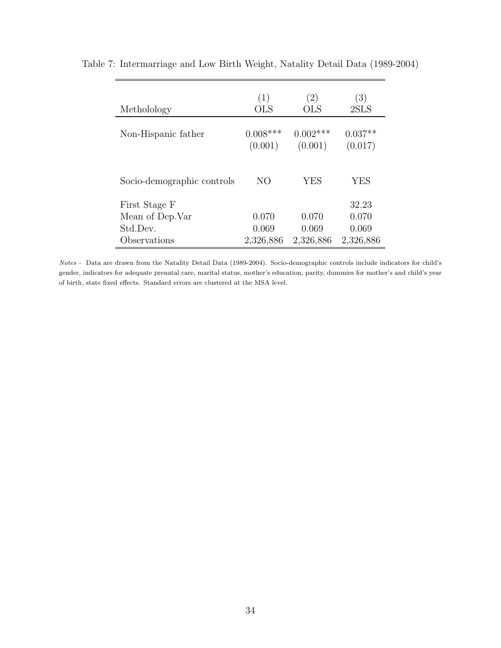| Metholology                | (1)<br><b>OLS</b>     | (2)<br><b>OLS</b>     | (3)<br>2SLS          |
|----------------------------|-----------------------|-----------------------|----------------------|
| Non-Hispanic father        | $0.008***$<br>(0.001) | $0.002***$<br>(0.001) | $0.037**$<br>(0.017) |
| Socio-demographic controls | NO                    | YES                   | YES                  |
| First Stage F              |                       |                       | 32.23                |
| Mean of Dep. Var           | 0.070                 | 0.070                 | 0.070                |
| Std.Dev.                   | 0.069                 | 0.069                 | 0.069                |
| Observations               | 2,326,886             | 2,326,886             | 2,326,886            |

Table 7: Intermarriage and Low Birth Weight, Natality Detail Data (1989-2004)

Notes - Data are drawn from the Natality Detail Data (1989-2004). Socio-demographic controls include indicators for child's gender, indicators for adequate prenatal care, marital status, mother's education, parity, dummies for mother's and child's year of birth, state fixed effects. Standard errors are clustered at the MSA level.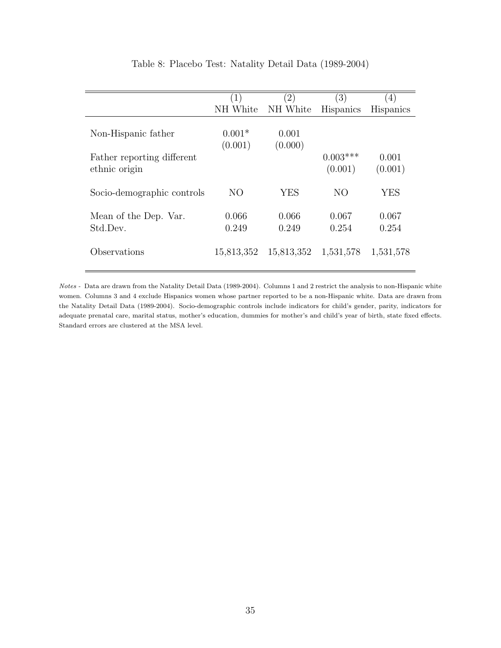<span id="page-35-0"></span>

|                                             | (1)                 | $\left( 2\right)$ | (3)                   | $\left(4\right)$ |
|---------------------------------------------|---------------------|-------------------|-----------------------|------------------|
|                                             | NH White            | NH White          | <b>Hispanics</b>      | <b>Hispanics</b> |
| Non-Hispanic father                         | $0.001*$<br>(0.001) | 0.001<br>(0.000)  |                       |                  |
| Father reporting different<br>ethnic origin |                     |                   | $0.003***$<br>(0.001) | 0.001<br>(0.001) |
| Socio-demographic controls                  | N <sub>O</sub>      | YES               | N <sub>O</sub>        | <b>YES</b>       |
| Mean of the Dep. Var.<br>Std.Dev.           | 0.066<br>0.249      | 0.066<br>0.249    | 0.067<br>0.254        | 0.067<br>0.254   |
| Observations                                | 15,813,352          | 15,813,352        | 1,531,578             | 1,531,578        |

#### Table 8: Placebo Test: Natality Detail Data (1989-2004)

Notes - Data are drawn from the Natality Detail Data (1989-2004). Columns 1 and 2 restrict the analysis to non-Hispanic white women. Columns 3 and 4 exclude Hispanics women whose partner reported to be a non-Hispanic white. Data are drawn from the Natality Detail Data (1989-2004). Socio-demographic controls include indicators for child's gender, parity, indicators for adequate prenatal care, marital status, mother's education, dummies for mother's and child's year of birth, state fixed effects. Standard errors are clustered at the MSA level.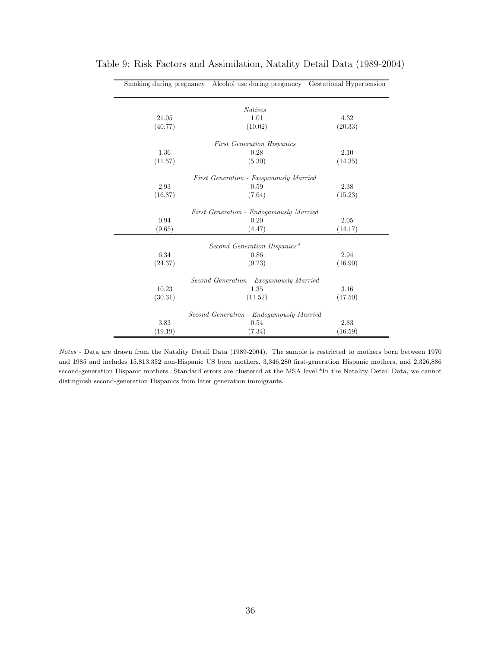|         | Smoking during pregnancy Alcohol use during pregnancy Gestational Hypertension |         |
|---------|--------------------------------------------------------------------------------|---------|
|         | <b>Natives</b>                                                                 |         |
| 21.05   | 1.01                                                                           | 4.32    |
| (40.77) | (10.02)                                                                        | (20.33) |
|         | <b>First Generation Hispanics</b>                                              |         |
| 1.36    | 0.28                                                                           | 2.10    |
| (11.57) | (5.30)                                                                         | (14.35) |
|         | First Generation - Exogamously Married                                         |         |
| 2.93    | 0.59                                                                           | 2.38    |
| (16.87) | (7.64)                                                                         | (15.23) |
|         | First Generation - Endogamously Married                                        |         |
| 0.94    | 0.20                                                                           | 2.05    |
| (9.65)  | (4.47)                                                                         | (14.17) |
|         | Second Generation Hispanics*                                                   |         |
| 6.34    | 0.86                                                                           | 2.94    |
| (24.37) | (9.23)                                                                         | (16.90) |
|         | Second Generation - Exogamously Married                                        |         |
| 10.23   | 1.35                                                                           | 3.16    |
| (30.31) | (11.52)                                                                        | (17.50) |
|         | Second Generation - Endogamously Married                                       |         |
| 3.83    | 0.54                                                                           | 2.83    |
| (19.19) | (7.34)                                                                         | (16.59) |

<span id="page-36-0"></span>Table 9: Risk Factors and Assimilation, Natality Detail Data (1989-2004)

Notes - Data are drawn from the Natality Detail Data (1989-2004). The sample is restricted to mothers born between 1970 and 1985 and includes 15,813,352 non-Hispanic US born mothers, 3,346,280 first-generation Hispanic mothers, and 2,326,886 second-generation Hispanic mothers. Standard errors are clustered at the MSA level.\*In the Natality Detail Data, we cannot distinguish second-generation Hispanics from later generation immigrants.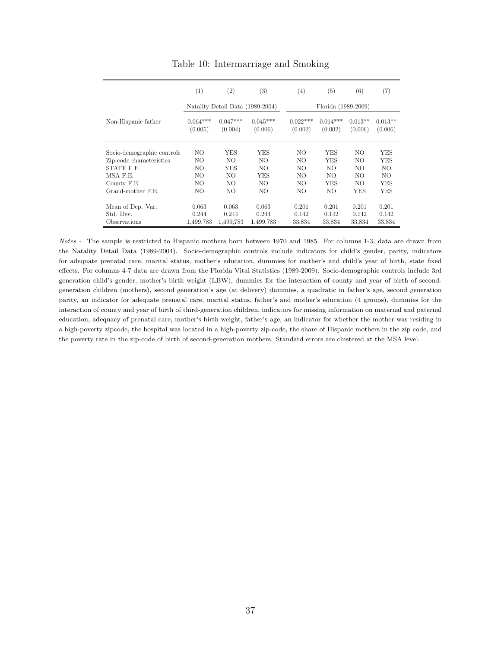<span id="page-37-0"></span>

|                            | (1)                   | (2)                              | (3)                   | (4)                   | (5)                   | (6)                  | (7)                  |
|----------------------------|-----------------------|----------------------------------|-----------------------|-----------------------|-----------------------|----------------------|----------------------|
|                            |                       | Natality Detail Data (1989-2004) |                       |                       | Florida (1989-2009)   |                      |                      |
| Non-Hispanic father        | $0.064***$<br>(0.005) | $0.047***$<br>(0.004)            | $0.045***$<br>(0.006) | $0.022***$<br>(0.002) | $0.014***$<br>(0.002) | $0.013**$<br>(0.006) | $0.013**$<br>(0.006) |
| Socio-demographic controls | NO                    | YES                              | <b>YES</b>            | NΟ                    | YES                   | NO.                  | YES                  |
| Zip-code characteristics   | NO                    | NO                               | NO.                   | NO                    | YES                   | NO.                  | YES                  |
| STATE F.E.                 | NO                    | YES                              | NO                    | NO                    | NΟ                    | NO                   | NO.                  |
| MSA F.E.                   | NO                    | NO                               | YES                   | NO                    | NΟ                    | NO                   | NO.                  |
| County F.E.                | NO                    | NO                               | NO.                   | NO                    | YES                   | NO.                  | YES                  |
| Grand-mother F.E.          | NO                    | NO                               | NΟ                    | NO                    | NΟ                    | YES                  | YES                  |
| Mean of Dep. Var.          | 0.063                 | 0.063                            | 0.063                 | 0.201                 | 0.201                 | 0.201                | 0.201                |
| Std. Dev.                  | 0.244                 | 0.244                            | 0.244                 | 0.142                 | 0.142                 | 0.142                | 0.142                |
| Observations               | 1,499,783             | 1,499,783                        | 1,499,783             | 33,834                | 33,834                | 33,834               | 33,834               |

Table 10: Intermarriage and Smoking

Notes - The sample is restricted to Hispanic mothers born between 1970 and 1985. For columns 1-3, data are drawn from the Natality Detail Data (1989-2004). Socio-demographic controls include indicators for child's gender, parity, indicators for adequate prenatal care, marital status, mother's education, dummies for mother's and child's year of birth, state fixed effects. For columns 4-7 data are drawn from the Florida Vital Statistics (1989-2009). Socio-demographic controls include 3rd generation child's gender, mother's birth weight (LBW), dummies for the interaction of county and year of birth of secondgeneration children (mothers), second generation's age (at delivery) dummies, a quadratic in father's age, second generation parity, an indicator for adequate prenatal care, marital status, father's and mother's education (4 groups), dummies for the interaction of county and year of birth of third-generation children, indicators for missing information on maternal and paternal education, adequacy of prenatal care, mother's birth weight, father's age, an indicator for whether the mother was residing in a high-poverty zipcode, the hospital was located in a high-poverty zip-code, the share of Hispanic mothers in the zip code, and the poverty rate in the zip-code of birth of second-generation mothers. Standard errors are clustered at the MSA level.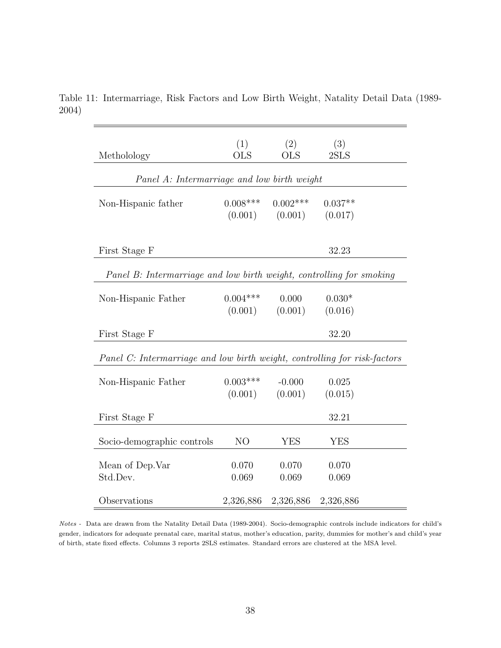| Metholology                                                               | (1)<br><b>OLS</b>     | (2)<br><b>OLS</b>     | (3)<br>2SLS          |  |
|---------------------------------------------------------------------------|-----------------------|-----------------------|----------------------|--|
| Panel A: Intermarriage and low birth weight                               |                       |                       |                      |  |
| Non-Hispanic father                                                       | $0.008***$<br>(0.001) | $0.002***$<br>(0.001) | $0.037**$<br>(0.017) |  |
| First Stage F                                                             |                       |                       | 32.23                |  |
| Panel B: Intermarriage and low birth weight, controlling for smoking      |                       |                       |                      |  |
| Non-Hispanic Father                                                       | $0.004***$<br>(0.001) | 0.000<br>(0.001)      | $0.030*$<br>(0.016)  |  |
| First Stage F                                                             |                       |                       | 32.20                |  |
| Panel C: Intermarriage and low birth weight, controlling for risk-factors |                       |                       |                      |  |
| Non-Hispanic Father                                                       | $0.003***$<br>(0.001) | $-0.000$<br>(0.001)   | 0.025<br>(0.015)     |  |
| First Stage F                                                             |                       |                       | 32.21                |  |
| Socio-demographic controls                                                | N <sub>O</sub>        | <b>YES</b>            | <b>YES</b>           |  |
| Mean of Dep. Var<br>Std.Dev.                                              | 0.070<br>0.069        | 0.070<br>0.069        | 0.070<br>0.069       |  |
| Observations                                                              | 2,326,886             | 2,326,886             | 2,326,886            |  |

<span id="page-38-0"></span>Table 11: Intermarriage, Risk Factors and Low Birth Weight, Natality Detail Data (1989- 2004)

Notes - Data are drawn from the Natality Detail Data (1989-2004). Socio-demographic controls include indicators for child's gender, indicators for adequate prenatal care, marital status, mother's education, parity, dummies for mother's and child's year of birth, state fixed effects. Columns 3 reports 2SLS estimates. Standard errors are clustered at the MSA level.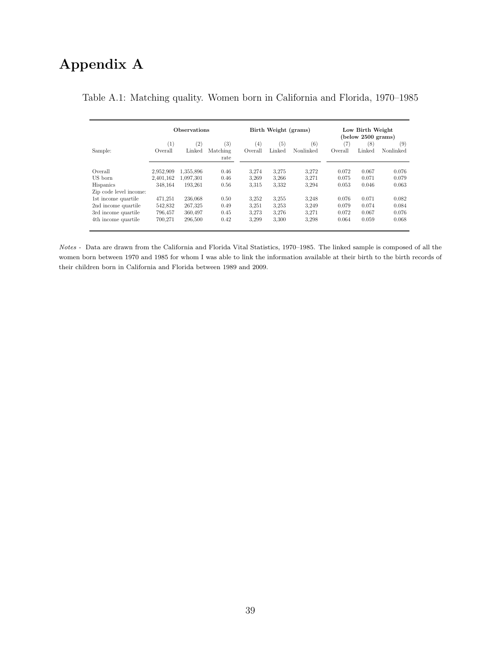## Appendix A

|                        | <b>Observations</b> |           |                   | Birth Weight (grams) |        |                   | Low Birth Weight<br>$($ below $2500$ grams $)$ |        |           |
|------------------------|---------------------|-----------|-------------------|----------------------|--------|-------------------|------------------------------------------------|--------|-----------|
|                        | $_{(1)}$            | (2)       | $\left( 3\right)$ | (4)                  | (5)    | $\left( 6\right)$ | (7                                             | (8)    | (9)       |
| Sample:                | Overall             | Linked    | Matching<br>rate  | Overall              | Linked | Nonlinked         | Overall                                        | Linked | Nonlinked |
| Overall                | 2,952,909           | 1.355.896 | 0.46              | 3.274                | 3.275  | 3.272             | 0.072                                          | 0.067  | 0.076     |
| US born                | 2.401.162           | 1.097.301 | 0.46              | 3,269                | 3.266  | 3.271             | 0.075                                          | 0.071  | 0.079     |
| <b>Hispanics</b>       | 348.164             | 193.261   | 0.56              | 3.315                | 3.332  | 3.294             | 0.053                                          | 0.046  | 0.063     |
| Zip code level income: |                     |           |                   |                      |        |                   |                                                |        |           |
| 1st income quartile    | 471.251             | 236,068   | 0.50              | 3.252                | 3.255  | 3.248             | 0.076                                          | 0.071  | 0.082     |
| 2nd income quartile    | 542,832             | 267,325   | 0.49              | 3,251                | 3.253  | 3.249             | 0.079                                          | 0.074  | 0.084     |
| 3rd income quartile    | 796.457             | 360.497   | 0.45              | 3.273                | 3.276  | 3.271             | 0.072                                          | 0.067  | 0.076     |
| 4th income quartile    | 700,271             | 296,500   | 0.42              | 3.299                | 3,300  | 3.298             | 0.064                                          | 0.059  | 0.068     |

#### <span id="page-39-0"></span>Table A.1: Matching quality. Women born in California and Florida, 1970–1985

Notes - Data are drawn from the California and Florida Vital Statistics, 1970–1985. The linked sample is composed of all the women born between 1970 and 1985 for whom I was able to link the information available at their birth to the birth records of their children born in California and Florida between 1989 and 2009.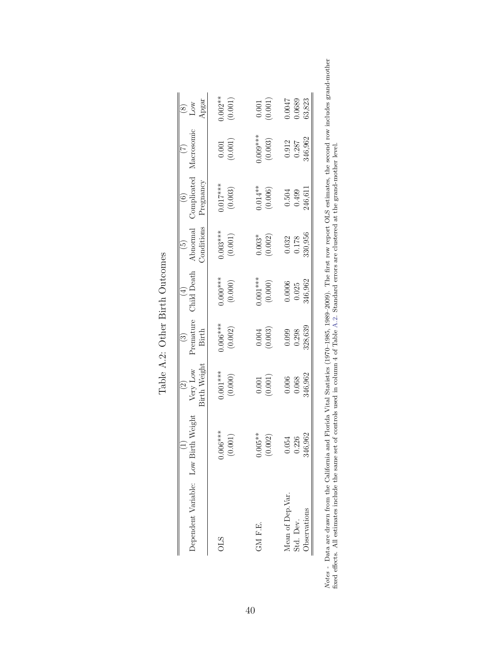<span id="page-40-0"></span>

| Dependent Variable: Low Birth Weight                 |                                | Birth Weight<br>$\frac{2}{\text{Very}}$ Low | Premature<br>Birth<br>$\binom{3}{2}$ | Child Death<br>$\left(4\right)$ | $\begin{array}{c} \text{(5)} \\ \text{Abnormal} \end{array}$<br>Conditions | Complicated<br>Pregnancy<br>$\left( \begin{matrix} 6 \end{matrix} \right)$ | Macrosomic                                               | $\begin{array}{c} (8) \\ \text{Low} \\ \text{10w} \\ \text{10gar} \end{array}$ |
|------------------------------------------------------|--------------------------------|---------------------------------------------|--------------------------------------|---------------------------------|----------------------------------------------------------------------------|----------------------------------------------------------------------------|----------------------------------------------------------|--------------------------------------------------------------------------------|
| <b>OLS</b>                                           | $0.006***$<br>(0.001)          | $0.001***$<br>(0.000)                       | $0.006***$<br>(0.002)                | $0.000$ ***<br>(0.000)          | $0.003***$<br>(0.001)                                                      | $0.017***$<br>(0.003)                                                      | (0.001)                                                  | $0.002**$<br>(0.001)                                                           |
| GM F.E.                                              | $0.005**$<br>(0.002)           | (0.001)                                     | $(0.004$<br>$(0.003)$                | $0.001***$<br>$(0.000)$         | $0.003*$<br>(0.002)                                                        | $0.014**$<br>(0.006)                                                       | $0.009***$<br>(0.003)                                    | (10000)                                                                        |
| Mean of Dep.Var.<br><b>D</b> servations<br>Std. Dev. | .962<br>0.054<br>0.226<br>346. | 346,962<br>$0.006$<br>$0.068$               | 328,639<br>0.099<br>0.298            | 346,962<br>$0.0006$<br>$0.025$  | 330,956<br>$\begin{array}{c} 0.032 \\ 0.178 \end{array}$                   | 246,611<br>$0.504$<br>$0.499$                                              | $\begin{array}{c} 0.912 \\ 0.287 \\ 346,962 \end{array}$ | 0.0047<br>63,823                                                               |

| 11700000   |
|------------|
| $2_{int}$  |
| rout+<br>ζ |
|            |
| 국          |

Notes - Data are drawn from the California and Florida Vital Statistics (1970–1985, 1989–2009). The first row report OLS estimates, the second row includes grand-mother fixed effects. All estimates include the same set of Notes - Data are drawn from the California and Florida Vital Statistics (1970–1985, 1989–2009). The first row report OLS estimates, the second row includes grand-mother fixed effects. All estimates include the same set of controls used in column 4 of Table [A.2.](#page-40-0) Standard errors are clustered at the grand-mother level.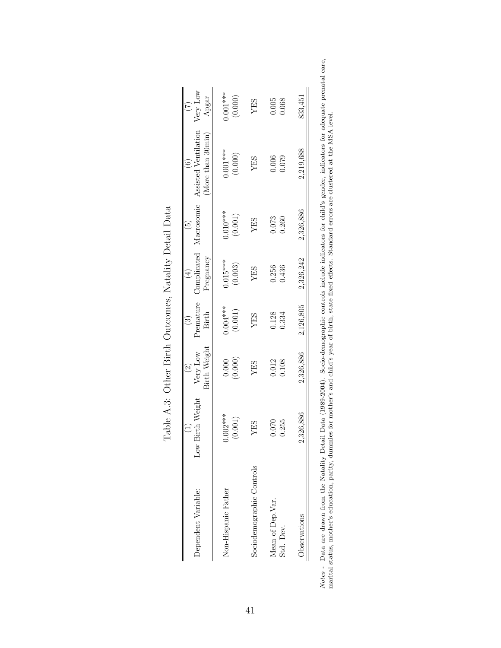<span id="page-41-0"></span>

| Dependent Variable:           | Birth Weight<br>Low   | Birth Weight<br>Very Low<br>$\odot$ | Premature<br><b>Birth</b><br>$\widehat{c}$ | Complicated<br>Pregnancy<br>$\left(\frac{1}{2}\right)$ | $\widehat{5}$         | Macrosomic Assisted Ventilation<br>(More than 30min) | Very Low<br>Apgar<br>$(\zeta)$ |
|-------------------------------|-----------------------|-------------------------------------|--------------------------------------------|--------------------------------------------------------|-----------------------|------------------------------------------------------|--------------------------------|
| Non-Hispanic Father           | $0.002***$<br>(0.001) | (0.000)<br>0.000                    | $0.004***$<br>(0.001)                      | $0.015***$<br>(0.003)                                  | $0.010***$<br>(0.001) | $0.001***$<br>(0.000)                                | $0.001***$<br>(0.000)          |
| Sociodemographic Controls     | YES                   | YES                                 | YES                                        | YES                                                    | YES                   | YES                                                  | YES                            |
| Mean of Dep.Var.<br>Std. Dev. | 0.255<br>0.070        | 0.108<br>0.012                      | 0.128<br>0.334                             | 0.436<br>0.256                                         | 0.073<br>0.260        | 0.006<br>0.079                                       | 0.005<br>0.068                 |
| Observations                  | 2,326,886             | 2,326,886                           | 2,126,805                                  | 2,326,242                                              | 2,326,886             | 2,219,688                                            | 833,451                        |

| $\overline{1}$<br>$\mathfrak{c}$      |
|---------------------------------------|
| $\ddot{\phantom{0}}$                  |
| ١<br>j<br>$\frac{1}{2}$               |
| $-1$ $-2$ $-2$ $-2$<br>$\overline{a}$ |
|                                       |
| i<br>S<br>$\overline{1}$              |
| 1                                     |
| $\frac{1}{2}$<br>l<br>l               |

Notes - Data are drawn from the Natality Detail Data (1989-2004). Socio-demographic controls include indicators for child's gender, indicators for adequate prenatal care, marital status, mother's education, parity, dummies Notes - Data are drawn from the Natality Detail Data (1989-2004). Socio-demographic controls include indicators for child's gender, indicators for adequate prenatal care, marital status, mother's education, parity, dummies for mother's and child's year of birth, state fixed effects. Standard errors are clustered at the MSA level.